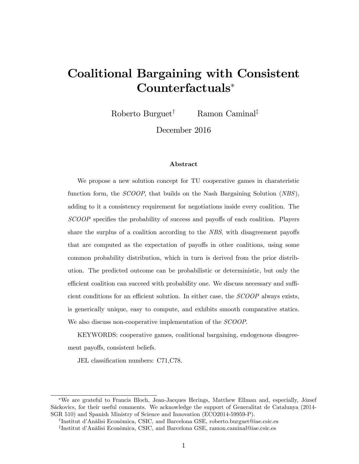# Coalitional Bargaining with Consistent Counterfactuals

Roberto Burguet<sup>†</sup> Ramon Caminal<sup>‡</sup>

December 2016

#### Abstract

We propose a new solution concept for TU cooperative games in charateristic function form, the  $SCOOP$ , that builds on the Nash Bargaining Solution (NBS), adding to it a consistency requirement for negotiations inside every coalition. The SCOOP specifies the probability of success and payoffs of each coalition. Players share the surplus of a coalition according to the  $NBS$ , with disagreement payoffs that are computed as the expectation of payoffs in other coalitions, using some common probability distribution, which in turn is derived from the prior distribution. The predicted outcome can be probabilistic or deterministic, but only the efficient coalition can succeed with probability one. We discuss necessary and sufficient conditions for an efficient solution. In either case, the  $SCOOP$  always exists, is generically unique, easy to compute, and exhibits smooth comparative statics. We also discuss non-cooperative implementation of the *SCOOP*.

KEYWORDS: cooperative games, coalitional bargaining, endogenous disagreement payoffs, consistent beliefs.

JEL classification numbers: C71, C78.

<sup>\*</sup>We are grateful to Francis Bloch, Jean-Jacques Herings, Matthew Ellman and, especially, József Sáckovics, for their useful comments. We acknowledge the support of Generalitat de Catalunya (2014-SGR 510) and Spanish Ministry of Science and Innovation (ECO2014-59959-P).

<sup>&</sup>lt;sup>†</sup>Institut d'Anàlisi Econòmica, CSIC, and Barcelona GSE, roberto.burguet@iae.csic.es <sup>‡</sup>Institut d'Anàlisi Econòmica, CSIC, and Barcelona GSE, ramon.caminal@iae.csic.es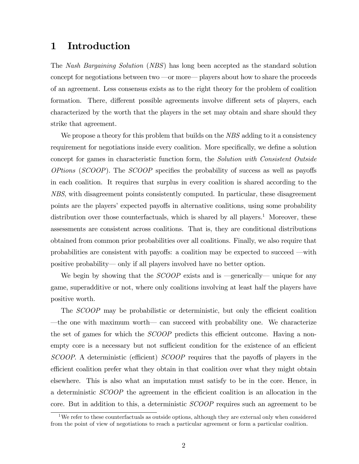# 1 Introduction

The Nash Bargaining Solution (NBS) has long been accepted as the standard solution concept for negotiations between two  $\sim$  or more $\sim$  players about how to share the proceeds of an agreement. Less consensus exists as to the right theory for the problem of coalition formation. There, different possible agreements involve different sets of players, each characterized by the worth that the players in the set may obtain and share should they strike that agreement.

We propose a theory for this problem that builds on the NBS adding to it a consistency requirement for negotiations inside every coalition. More specifically, we define a solution concept for games in characteristic function form, the Solution with Consistent Outside  $OfBions$  (SCOOP). The SCOOP specifies the probability of success as well as payoffs in each coalition. It requires that surplus in every coalition is shared according to the NBS, with disagreement points consistently computed. In particular, these disagreement points are the players' expected payoffs in alternative coalitions, using some probability distribution over those counterfactuals, which is shared by all players.<sup>1</sup> Moreover, these assessments are consistent across coalitions. That is, they are conditional distributions obtained from common prior probabilities over all coalitions. Finally, we also require that probabilities are consistent with payoffs: a coalition may be expected to succeed  $\equiv$  with positive probability—only if all players involved have no better option.

We begin by showing that the  $SCOOP$  exists and is  $-$ generically— unique for any game, superadditive or not, where only coalitions involving at least half the players have positive worth.

The SCOOP may be probabilistic or deterministic, but only the efficient coalition the one with maximum worth— can succeed with probability one. We characterize the set of games for which the *SCOOP* predicts this efficient outcome. Having a nonempty core is a necessary but not sufficient condition for the existence of an efficient  $SCOOP$ . A deterministic (efficient)  $SCOOP$  requires that the payoffs of players in the efficient coalition prefer what they obtain in that coalition over what they might obtain elsewhere. This is also what an imputation must satisfy to be in the core. Hence, in a deterministic *SCOOP* the agreement in the efficient coalition is an allocation in the core. But in addition to this, a deterministic SCOOP requires such an agreement to be

<sup>&</sup>lt;sup>1</sup>We refer to these counterfactuals as outside options, although they are external only when considered from the point of view of negotiations to reach a particular agreement or form a particular coalition.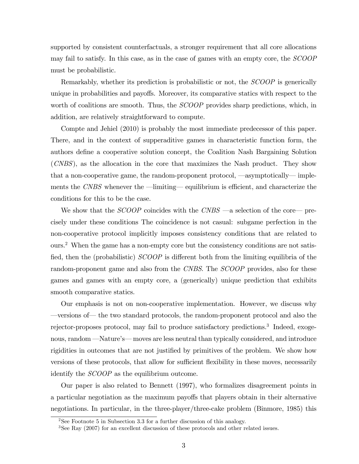supported by consistent counterfactuals, a stronger requirement that all core allocations may fail to satisfy. In this case, as in the case of games with an empty core, the SCOOP must be probabilistic.

Remarkably, whether its prediction is probabilistic or not, the *SCOOP* is generically unique in probabilities and payoffs. Moreover, its comparative statics with respect to the worth of coalitions are smooth. Thus, the *SCOOP* provides sharp predictions, which, in addition, are relatively straightforward to compute.

Compte and Jehiel (2010) is probably the most immediate predecessor of this paper. There, and in the context of supperaditive games in characteristic function form, the authors deÖne a cooperative solution concept, the Coalition Nash Bargaining Solution (CNBS), as the allocation in the core that maximizes the Nash product. They show that a non-cooperative game, the random-proponent protocol,  $\sim$  asymptotically  $\sim$  implements the  $CNBS$  whenever the  $\text{–limiting}\text{--}$  equilibrium is efficient, and characterize the conditions for this to be the case.

We show that the  $SCOOP$  coincides with the  $CNBS$  —a selection of the core— precisely under these conditions The coincidence is not casual: subgame perfection in the non-cooperative protocol implicitly imposes consistency conditions that are related to ours.<sup>2</sup> When the game has a non-empty core but the consistency conditions are not satisfied, then the (probabilistic)  $SCOOP$  is different both from the limiting equilibria of the random-proponent game and also from the CNBS. The SCOOP provides, also for these games and games with an empty core, a (generically) unique prediction that exhibits smooth comparative statics.

Our emphasis is not on non-cooperative implementation. However, we discuss why —versions of— the two standard protocols, the random-proponent protocol and also the rejector-proposes protocol, may fail to produce satisfactory predictions.<sup>3</sup> Indeed, exogenous, random  $\text{—}\text{Nature's} \text{—}$  moves are less neutral than typically considered, and introduce rigidities in outcomes that are not justified by primitives of the problem. We show how versions of these protocols, that allow for sufficient flexibility in these moves, necessarily identify the SCOOP as the equilibrium outcome.

Our paper is also related to Bennett (1997), who formalizes disagreement points in a particular negotiation as the maximum payoffs that players obtain in their alternative negotiations. In particular, in the three-player/three-cake problem (Binmore, 1985) this

<sup>&</sup>lt;sup>2</sup>See Footnote 5 in Subsection 3.3 for a further discussion of this analogy.

<sup>3</sup>See Ray (2007) for an excellent discussion of these protocols and other related issues.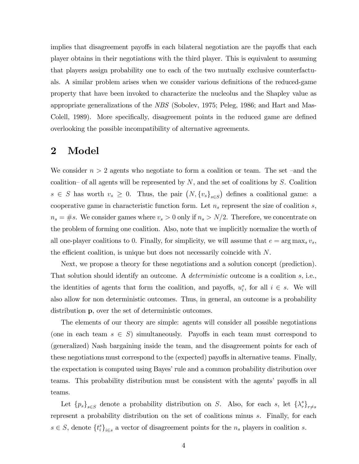implies that disagreement payoffs in each bilateral negotiation are the payoffs that each player obtains in their negotiations with the third player. This is equivalent to assuming that players assign probability one to each of the two mutually exclusive counterfactuals. A similar problem arises when we consider various definitions of the reduced-game property that have been invoked to characterize the nucleolus and the Shapley value as appropriate generalizations of the NBS (Sobolev, 1975; Peleg, 1986; and Hart and Mas-Colell, 1989). More specifically, disagreement points in the reduced game are defined overlooking the possible incompatibility of alternative agreements.

# 2 Model

We consider  $n > 2$  agents who negotiate to form a coalition or team. The set -and the coalition– of all agents will be represented by  $N$ , and the set of coalitions by S. Coalition  $s \in S$  has worth  $v_s \geq 0$ . Thus, the pair  $(N, \{v_s\}_{s \in S})$  defines a coalitional game: a cooperative game in characteristic function form. Let  $n_s$  represent the size of coalition s,  $n_s = \#s$ . We consider games where  $v_s > 0$  only if  $n_s > N/2$ . Therefore, we concentrate on the problem of forming one coalition. Also, note that we implicitly normalize the worth of all one-player coalitions to 0. Finally, for simplicity, we will assume that  $e = \arg \max_s v_s$ , the efficient coalition, is unique but does not necessarily coincide with  $N$ .

Next, we propose a theory for these negotiations and a solution concept (prediction). That solution should identify an outcome. A *deterministic* outcome is a coalition s, i.e., the identities of agents that form the coalition, and payoffs,  $u_i^s$ , for all  $i \in s$ . We will also allow for non deterministic outcomes. Thus, in general, an outcome is a probability distribution p, over the set of deterministic outcomes.

The elements of our theory are simple: agents will consider all possible negotiations (one in each team  $s \in S$ ) simultaneously. Payoffs in each team must correspond to (generalized) Nash bargaining inside the team, and the disagreement points for each of these negotiations must correspond to the (expected) payoffs in alternative teams. Finally, the expectation is computed using Bayes' rule and a common probability distribution over teams. This probability distribution must be consistent with the agents' payoffs in all teams.

Let  ${p_s}_{s\in S}$  denote a probability distribution on S. Also, for each s, let  $\{\lambda_r^s\}_{r\neq s}$ represent a probability distribution on the set of coalitions minus s. Finally, for each  $s \in S$ , denote  $\{t_i^s\}_{i \in s}$  a vector of disagreement points for the  $n_s$  players in coalition s.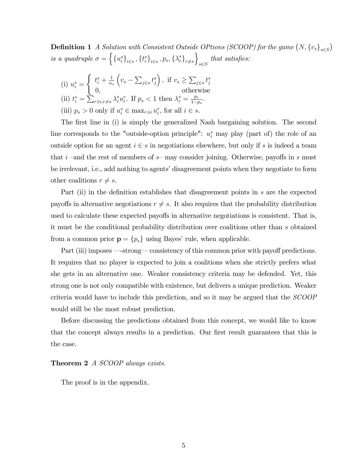**Definition 1** A Solution with Consistent Outside OPtions (SCOOP) for the game  $(N, \{v_s\}_{s \in S})$ is a quadruple  $\sigma = \left\{ {\{u_i^s\}_{i \in s}, \{t_i^s\}_{i \in s}, p_s, \{\lambda_r^s\}_{r \neq s}} \right\}$  $\mathcal{L}$  $s{\in}S$ that satisfies:

(i) 
$$
u_i^s = \begin{cases} t_i^s + \frac{1}{n_s} \left( v_s - \sum_{j \in s} t_j^s \right), & \text{if } v_s \geq \sum_{j \in s} t_j^s \\ 0, & \text{otherwise} \end{cases}
$$
  
\n(ii)  $t_i^s = \sum_{r \ni i, r \neq s} \lambda_r^s u_i^r$ . If  $p_s < 1$  then  $\lambda_r^s = \frac{p_r}{1 - p_s}$ .  
\n(iii)  $p_s > 0$  only if  $u_i^s \in \max_{r \ni i} u_i^r$ , for all  $i \in s$ .

The first line in (i) is simply the generalized Nash bargaining solution. The second line corresponds to the "outside-option principle":  $u_i^s$  may play (part of) the role of an outside option for an agent  $i \in s$  in negotiations elsewhere, but only if s is indeed a team that i –and the rest of members of  $s$ – may consider joining. Otherwise, payoffs in s must be irrelevant, i.e., add nothing to agents' disagreement points when they negotiate to form other coalitions  $r \neq s$ .

Part (ii) in the definition establishes that disagreement points in s are the expected payoffs in alternative negotiations  $r \neq s$ . It also requires that the probability distribution used to calculate these expected payoffs in alternative negotiations is consistent. That is, it must be the conditional probability distribution over coalitions other than s obtained from a common prior  $\mathbf{p} = \{p_s\}$  using Bayes' rule, when applicable.

Part (iii) imposes —strong—consistency of this common prior with payoff predictions. It requires that no player is expected to join a coalitions when she strictly prefers what she gets in an alternative one. Weaker consistency criteria may be defended. Yet, this strong one is not only compatible with existence, but delivers a unique prediction. Weaker criteria would have to include this prediction, and so it may be argued that the SCOOP would still be the most robust prediction.

Before discussing the predictions obtained from this concept, we would like to know that the concept always results in a prediction. Our first result guarantees that this is the case.

#### Theorem 2 A SCOOP always exists.

The proof is in the appendix.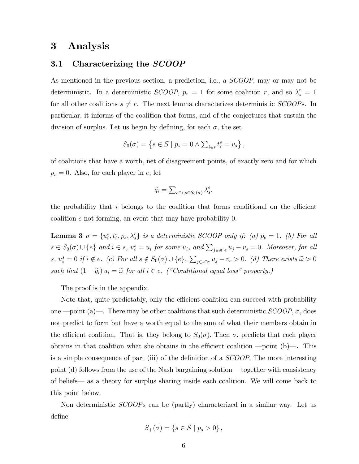# 3 Analysis

## 3.1 Characterizing the SCOOP

As mentioned in the previous section, a prediction, i.e., a SCOOP, may or may not be deterministic. In a deterministic *SCOOP*,  $p_r = 1$  for some coalition r, and so  $\lambda_s^r = 1$ for all other coalitions  $s \neq r$ . The next lemma characterizes deterministic *SCOOPs*. In particular, it informs of the coalition that forms, and of the conjectures that sustain the division of surplus. Let us begin by defining, for each  $\sigma$ , the set

$$
S_0(\sigma) = \left\{ s \in S \mid p_s = 0 \land \sum_{i \in s} t_i^s = v_s \right\},\
$$

of coalitions that have a worth, net of disagreement points, of exactly zero and for which  $p_s = 0$ . Also, for each player in e, let

$$
\widetilde{q}_i = \sum_{s \ni i, s \in S_0(\sigma)} \lambda_s^e,
$$

the probability that  $i$  belongs to the coalition that forms conditional on the efficient coalition e not forming, an event that may have probability 0.

**Lemma 3**  $\sigma = \{u_i^s, t_i^s, p_s, \lambda_s^r\}$  is a deterministic SCOOP only if: (a)  $p_e = 1$ . (b) For all  $s \in S_0(\sigma) \cup \{e\}$  and  $i \in s$ ,  $u_i^s = u_i$  for some  $u_i$ , and  $\sum_{j \in s \cap e} u_j - v_s = 0$ . Moreover, for all  $s, u_i^s = 0$  if  $i \notin e$ . (c) For all  $s \notin S_0(\sigma) \cup \{e\}, \sum_{j \in s \cap e} u_j - v_s > 0$ . (d) There exists  $\widetilde{\omega} > 0$ such that  $(1 - \widetilde{q}_i) u_i = \widetilde{\omega}$  for all  $i \in e$ . ("Conditional equal loss" property.)

The proof is in the appendix.

Note that, quite predictably, only the efficient coalition can succeed with probability one —point (a)—. There may be other coalitions that such deterministic  $SCOOP$ ,  $\sigma$ , does not predict to form but have a worth equal to the sum of what their members obtain in the efficient coalition. That is, they belong to  $S_0(\sigma)$ . Then  $\sigma$ , predicts that each player obtains in that coalition what she obtains in the efficient coalition  $\text{–point (b)}\text{–}.$  This is a simple consequence of part (iii) of the definition of a  $SCOOP$ . The more interesting point (d) follows from the use of the Nash bargaining solution  $\rightarrow$  together with consistency of beliefs— as a theory for surplus sharing inside each coalition. We will come back to this point below.

Non deterministic SCOOPs can be (partly) characterized in a similar way. Let us deÖne

$$
S_{+}(\sigma) = \{ s \in S \mid p_s > 0 \},\,
$$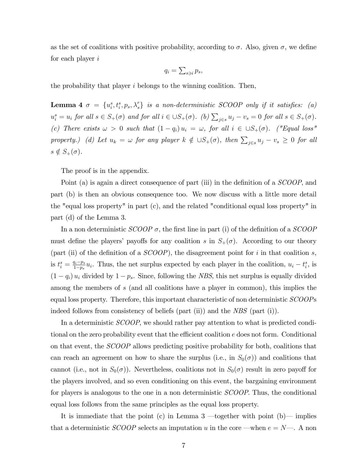as the set of coalitions with positive probability, according to  $\sigma$ . Also, given  $\sigma$ , we define for each player i

$$
q_i = \sum_{s \ni i} p_s,
$$

the probability that player  $i$  belongs to the winning coalition. Then,

**Lemma 4**  $\sigma = \{u_i^s, t_i^s, p_s, \lambda_s^r\}$  is a non-deterministic SCOOP only if it satisfies: (a)  $u_i^s = u_i$  for all  $s \in S_+(\sigma)$  and for all  $i \in \cup S_+(\sigma)$ . (b)  $\sum_{j \in s} u_j - v_s = 0$  for all  $s \in S_+(\sigma)$ . (c) There exists  $\omega > 0$  such that  $(1 - q_i) u_i = \omega$ , for all  $i \in \bigcup S_+(\sigma)$ . ("Equal loss" property.) (d) Let  $u_k = \omega$  for any player  $k \notin \cup S_+(\sigma)$ , then  $\sum_{j \in s} u_j - v_s \geq 0$  for all  $s \notin S_+(\sigma)$ .

The proof is in the appendix.

Point (a) is again a direct consequence of part (iii) in the definition of a  $SCOOP$ , and part (b) is then an obvious consequence too. We now discuss with a little more detail the "equal loss property" in part (c), and the related "conditional equal loss property" in part (d) of the Lemma 3.

In a non deterministic  $SCOOP \sigma$ , the first line in part (i) of the definition of a  $SCOOP$ must define the players' payoffs for any coalition s in  $S_+(\sigma)$ . According to our theory (part (ii) of the definition of a  $SCOOP$ ), the disagreement point for i in that coalition s, is  $t_i^s = \frac{q_i - p_s}{1 - p_s}$  $\frac{q_i-p_s}{1-p_s}u_i$ . Thus, the net surplus expected by each player in the coalition,  $u_i-t_i^s$ , is  $(1 - q_i) u_i$  divided by  $1 - p_s$ . Since, following the *NBS*, this net surplus is equally divided among the members of s (and all coalitions have a player in common), this implies the equal loss property. Therefore, this important characteristic of non deterministic SCOOPs indeed follows from consistency of beliefs (part  $(ii)$ ) and the NBS (part  $(i)$ ).

In a deterministic *SCOOP*, we should rather pay attention to what is predicted conditional on the zero probability event that the efficient coalition  $e$  does not form. Conditional on that event, the SCOOP allows predicting positive probability for both, coalitions that can reach an agreement on how to share the surplus (i.e., in  $S_0(\sigma)$ ) and coalitions that cannot (i.e., not in  $S_0(\sigma)$ ). Nevertheless, coalitions not in  $S_0(\sigma)$  result in zero payoff for the players involved, and so even conditioning on this event, the bargaining environment for players is analogous to the one in a non deterministic *SCOOP*. Thus, the conditional equal loss follows from the same principles as the equal loss property.

It is immediate that the point (c) in Lemma  $3$  -together with point (b) implies that a deterministic *SCOOP* selects an imputation u in the core —when  $e = N$ —. A non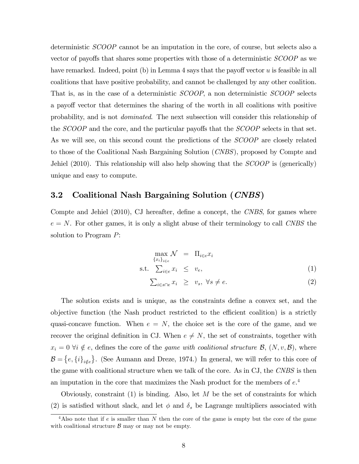deterministic SCOOP cannot be an imputation in the core, of course, but selects also a vector of payoffs that shares some properties with those of a deterministic *SCOOP* as we have remarked. Indeed, point (b) in Lemma 4 says that the payoff vector  $u$  is feasible in all coalitions that have positive probability, and cannot be challenged by any other coalition. That is, as in the case of a deterministic SCOOP, a non deterministic SCOOP selects a payoff vector that determines the sharing of the worth in all coalitions with positive probability, and is not dominated. The next subsection will consider this relationship of the SCOOP and the core, and the particular payoffs that the SCOOP selects in that set. As we will see, on this second count the predictions of the SCOOP are closely related to those of the Coalitional Nash Bargaining Solution (CNBS), proposed by Compte and Jehiel (2010). This relationship will also help showing that the *SCOOP* is (generically) unique and easy to compute.

## 3.2 Coalitional Nash Bargaining Solution (CNBS)

Compte and Jehiel  $(2010)$ , CJ hereafter, define a concept, the CNBS, for games where  $e = N$ . For other games, it is only a slight abuse of their terminology to call CNBS the solution to Program P:

$$
\max_{\{x_i\}_{i \in e}} \mathcal{N} = \Pi_{i \in e} x_i
$$
\n
$$
\text{s.t.} \quad \sum_{i \in e} x_i \leq v_e,
$$
\n
$$
(1)
$$

$$
\sum_{i \in s \cap e} x_i \ge v_s, \ \forall s \ne e. \tag{2}
$$

The solution exists and is unique, as the constraints define a convex set, and the objective function (the Nash product restricted to the efficient coalition) is a strictly quasi-concave function. When  $e = N$ , the choice set is the core of the game, and we recover the original definition in CJ. When  $e \neq N$ , the set of constraints, together with  $x_i = 0 \ \forall i \notin e$ , defines the core of the *game with coalitional structure B*,  $(N, v, \mathcal{B})$ , where  $\mathcal{B} = \{e, \{i\}_{i \notin e}\}.$  (See Aumann and Dreze, 1974.) In general, we will refer to this core of the game with coalitional structure when we talk of the core. As in CJ, the CNBS is then an imputation in the core that maximizes the Nash product for the members of  $e^4$ .

Obviously, constraint  $(1)$  is binding. Also, let M be the set of constraints for which (2) is satisfied without slack, and let  $\phi$  and  $\delta_s$  be Lagrange multipliers associated with

<sup>&</sup>lt;sup>4</sup>Also note that if e is smaller than N then the core of the game is empty but the core of the game with coalitional structure  $\beta$  may or may not be empty.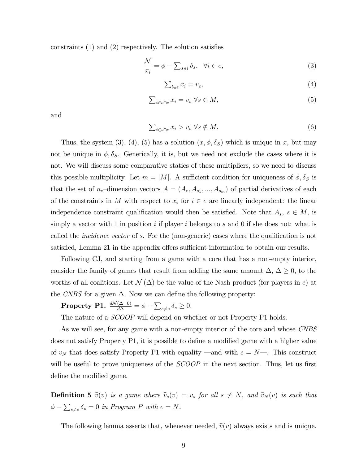constraints  $(1)$  and  $(2)$  respectively. The solution satisfies

$$
\frac{\mathcal{N}}{x_i} = \phi - \sum_{s \ni i} \delta_s, \quad \forall i \in e,
$$
\n(3)

$$
\sum_{i \in e} x_i = v_e,\tag{4}
$$

$$
\sum_{i \in s \cap e} x_i = v_s \ \forall s \in M,
$$
\n<sup>(5)</sup>

and

$$
\sum_{i \in s \cap e} x_i > v_s \ \forall s \notin M. \tag{6}
$$

Thus, the system (3), (4), (5) has a solution  $(x, \phi, \delta_S)$  which is unique in x, but may not be unique in  $\phi$ ,  $\delta_S$ . Generically, it is, but we need not exclude the cases where it is not. We will discuss some comparative statics of these multipliers, so we need to discuss this possible multiplicity. Let  $m = |M|$ . A sufficient condition for uniqueness of  $\phi$ ,  $\delta_S$  is that the set of  $n_e$ -dimension vectors  $A = (A_e, A_{s_1}, ..., A_{s_m})$  of partial derivatives of each of the constraints in M with respect to  $x_i$  for  $i \in e$  are linearly independent: the linear independence constraint qualification would then be satisfied. Note that  $A_s$ ,  $s \in M$ , is simply a vector with 1 in position i if player i belongs to s and 0 if she does not: what is called the *incidence vector* of s. For the (non-generic) cases where the qualification is not satisfied, Lemma 21 in the appendix offers sufficient information to obtain our results.

Following CJ, and starting from a game with a core that has a non-empty interior, consider the family of games that result from adding the same amount  $\Delta, \Delta \geq 0$ , to the worths of all coalitions. Let  $\mathcal{N}(\Delta)$  be the value of the Nash product (for players in e) at the CNBS for a given  $\Delta$ . Now we can define the following property:

**Property P1.**  $\frac{dN(\Delta=0)}{d\Delta} = \phi - \sum_{s\neq e} \delta_s \geq 0$ .

The nature of a *SCOOP* will depend on whether or not Property P1 holds.

As we will see, for any game with a non-empty interior of the core and whose CNBS does not satisfy Property P1, it is possible to define a modified game with a higher value of  $v_N$  that does satisfy Property P1 with equality –and with  $e = N$ . This construct will be useful to prove uniqueness of the  $SCOOP$  in the next section. Thus, let us first define the modified game.

**Definition 5**  $\hat{v}(v)$  is a game where  $\hat{v}_s(v) = v_s$  for all  $s \neq N$ , and  $\hat{v}_N(v)$  is such that  $\phi - \sum_{s \neq e} \delta_s = 0$  in Program P with  $e = N$ .

The following lemma asserts that, whenever needed,  $\hat{v}(v)$  always exists and is unique.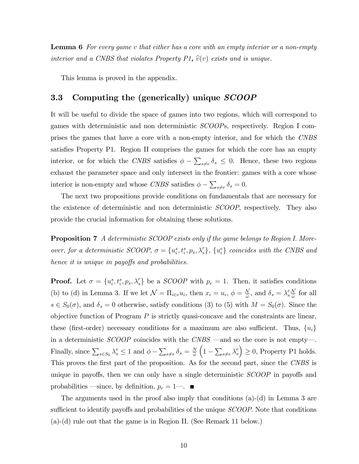**Lemma 6** For every game v that either has a core with an empty interior or a non-empty interior and a CNBS that violates Property P1,  $\hat{v}(v)$  exists and is unique.

This lemma is proved in the appendix.

# 3.3 Computing the (generically) unique *SCOOP*

It will be useful to divide the space of games into two regions, which will correspond to games with deterministic and non deterministic SCOOPs, respectively. Region I comprises the games that have a core with a non-empty interior, and for which the CNBS satisfies Property P1. Region II comprises the games for which the core has an empty interior, or for which the CNBS satisfies  $\phi - \sum_{s \neq e} \delta_s \leq 0$ . Hence, these two regions exhaust the parameter space and only intersect in the frontier: games with a core whose interior is non-empty and whose CNBS satisfies  $\phi - \sum_{s \neq e} \delta_s = 0$ .

The next two propositions provide conditions on fundamentals that are necessary for the existence of deterministic and non deterministic SCOOP, respectively. They also provide the crucial information for obtaining these solutions.

Proposition 7 A deterministic SCOOP exists only if the game belongs to Region I. Moreover, for a deterministic SCOOP,  $\sigma = \{u_i^s, t_i^s, p_s, \lambda_s^r\}$ ,  $\{u_i^e\}$  coincides with the CNBS and hence it is unique in payoffs and probabilities.

**Proof.** Let  $\sigma = \{u_i^s, t_i^s, p_s, \lambda_s^r\}$  be a *SCOOP* with  $p_e = 1$ . Then, it satisfies conditions (b) to (d) in Lemma 3. If we let  $\mathcal{N} = \Pi_{i \in e} u_i$ , then  $x_i = u_i$ ,  $\phi = \frac{\mathcal{N}}{\tilde{\omega}}$ , and  $\delta_s = \lambda_s^e$  $\frac{eN}{\tilde{\omega}}$  for all  $s \in S_0(\sigma)$ , and  $\delta_s = 0$  otherwise, satisfy conditions (3) to (5) with  $M = S_0(\sigma)$ . Since the objective function of Program  $P$  is strictly quasi-concave and the constraints are linear, these (first-order) necessary conditions for a maximum are also sufficient. Thus,  $\{u_i\}$ in a deterministic  $SCOOP$  coincides with the  $CNBS$  —and so the core is not empty—. Finally, since  $\sum_{s \in S_0} \lambda_s^e \le 1$  and  $\phi - \sum_{s \ne e} \delta_s = \frac{N}{\tilde{\omega}}$  $\widetilde{\omega}$  $\Big(1-\sum_{s\neq e}\lambda^e_s$ s  $\Big) \geq 0$ , Property P1 holds. This proves the first part of the proposition. As for the second part, since the CNBS is unique in payoffs, then we can only have a single deterministic  $SCOOP$  in payoffs and probabilities —since, by definition,  $p_e = 1$ —.

The arguments used in the proof also imply that conditions (a)-(d) in Lemma 3 are sufficient to identify payoffs and probabilities of the unique *SCOOP*. Note that conditions (a)-(d) rule out that the game is in Region II. (See Remark 11 below.)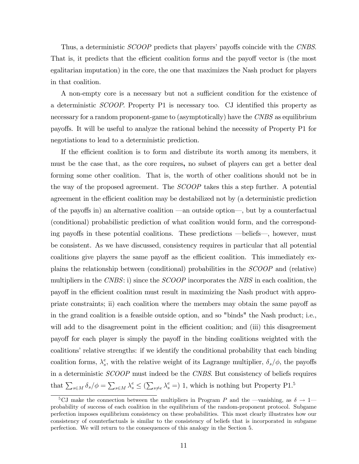Thus, a deterministic *SCOOP* predicts that players' payoffs coincide with the *CNBS*. That is, it predicts that the efficient coalition forms and the payoff vector is (the most egalitarian imputation) in the core, the one that maximizes the Nash product for players in that coalition.

A non-empty core is a necessary but not a sufficient condition for the existence of a deterministic *SCOOP*. Property P1 is necessary too. CJ identified this property as necessary for a random proponent-game to (asymptotically) have the CNBS as equilibrium payo§s. It will be useful to analyze the rational behind the necessity of Property P1 for negotiations to lead to a deterministic prediction.

If the efficient coalition is to form and distribute its worth among its members, it must be the case that, as the core requires, no subset of players can get a better deal forming some other coalition. That is, the worth of other coalitions should not be in the way of the proposed agreement. The SCOOP takes this a step further. A potential agreement in the efficient coalition may be destabilized not by (a deterministic prediction of the payoffs in) an alternative coalition —an outside option—, but by a counterfactual (conditional) probabilistic prediction of what coalition would form, and the corresponding payoffs in these potential coalitions. These predictions —beliefs—, however, must be consistent. As we have discussed, consistency requires in particular that all potential coalitions give players the same payoff as the efficient coalition. This immediately explains the relationship between (conditional) probabilities in the SCOOP and (relative) multipliers in the CNBS: i) since the SCOOP incorporates the NBS in each coalition, the payoff in the efficient coalition must result in maximizing the Nash product with appropriate constraints; ii) each coalition where the members may obtain the same payoff as in the grand coalition is a feasible outside option, and so "binds" the Nash product; i.e., will add to the disagreement point in the efficient coalition; and (iii) this disagreement payoff for each player is simply the payoff in the binding coalitions weighted with the coalitions' relative strengths: if we identify the conditional probability that each binding coalition forms,  $\lambda_s^e$  $_s^e$ , with the relative weight of its Lagrange multiplier,  $\delta_s/\phi$ , the payoffs in a deterministic SCOOP must indeed be the CNBS. But consistency of beliefs requires that  $\sum_{s\in M} \delta_s/\phi = \sum_{s\in M} \lambda_s^e \leq (\sum_{s\neq e} \lambda_s^e = 1)$ , which is nothing but Property P1.<sup>5</sup>

<sup>&</sup>lt;sup>5</sup>CJ make the connection between the multipliers in Program P and the  $-$ vanishing, as  $\delta \to 1$ probability of success of each coalition in the equilibrium of the random-proponent protocol. Subgame perfection imposes equilibrium consistency on these probabilities. This most clearly illustrates how our consistency of counterfactuals is similar to the consistency of beliefs that is incorporated in subgame perfection. We will return to the consequences of this analogy in the Section 5.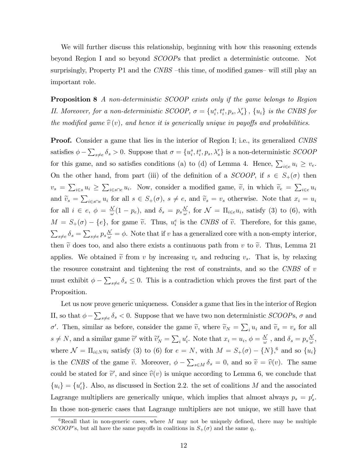We will further discuss this relationship, beginning with how this reasoning extends beyond Region I and so beyond SCOOPs that predict a deterministic outcome. Not surprisingly, Property P1 and the  $CNBS$  -this time, of modified games-will still play an important role.

Proposition 8 A non-deterministic SCOOP exists only if the game belongs to Region II. Moreover, for a non-deterministic SCOOP,  $\sigma = \{u_i^s, t_i^s, p_s, \lambda_s^r\}$ ,  $\{u_i\}$  is the CNBS for the modified game  $\hat{v}(v)$ , and hence it is generically unique in payoffs and probabilities.

**Proof.** Consider a game that lies in the interior of Region I; i.e., its generalized CNBS satisfies  $\phi - \sum_{s\neq e} \delta_s > 0$ . Suppose that  $\sigma = \{u_i^s, t_i^s, p_s, \lambda_s^r\}$  is a non-deterministic *SCOOP* for this game, and so satisfies conditions (a) to (d) of Lemma 4. Hence,  $\sum_{i \in e} u_i \ge v_e$ . On the other hand, from part (iii) of the definition of a SCOOP, if  $s \in S_+(\sigma)$  then  $v_s = \sum_{i \in s} u_i \geq \sum_{i \in s \cap e} u_i$ . Now, consider a modified game,  $\tilde{v}$ , in which  $\tilde{v}_e = \sum_{i \in e} u_i$ and  $\widetilde{v}_s = \sum_{i \in s \cap e} u_i$  for all  $s \in S_+(\sigma)$ ,  $s \neq e$ , and  $\widetilde{v}_s = v_s$  otherwise. Note that  $x_i = u_i$ for all  $i \in e, \ \phi = \frac{N}{\omega}(1 - p_e)$ , and  $\delta_s = p_s \frac{N}{\omega}$ , for  $\mathcal{N} = \Pi_{i \in e} u_i$ , satisfy (3) to (6), with  $M = S_+(\sigma) - \{e\}$ , for game  $\tilde{v}$ . Thus,  $u_i^e$  is the CNBS of  $\tilde{v}$ . Therefore, for this game,  $\sum_{s\neq e} \delta_s = \sum_{s\neq e} p_s \frac{\mathcal{N}}{\omega} = \phi$ . Note that if v has a generalized core with a non-empty interior, then  $\tilde{v}$  does too, and also there exists a continuous path from v to  $\tilde{v}$ . Thus, Lemma 21 applies. We obtained  $\tilde{v}$  from v by increasing  $v_e$  and reducing  $v_s$ . That is, by relaxing the resource constraint and tightening the rest of constraints, and so the CNBS of  $v$ must exhibit  $\phi - \sum_{s \neq e} \delta_s \leq 0$ . This is a contradiction which proves the first part of the Proposition.

Let us now prove generic uniqueness. Consider a game that lies in the interior of Region II, so that  $\phi - \sum_{s \neq e} \delta_s < 0$ . Suppose that we have two non deterministic *SCOOPs*,  $\sigma$  and  $\sigma'$ . Then, similar as before, consider the game  $\tilde{v}$ , where  $\tilde{v}_N = \sum_i u_i$  and  $\tilde{v}_s = v_s$  for all  $s \neq N$ , and a similar game  $\tilde{v}'$  with  $\tilde{v}'_N = \sum_i u'_i$ . Note that  $x_i = u_i$ ,  $\phi = \frac{N}{\omega}$ , and  $\delta_s = p_s \frac{N}{\omega}$ , where  $\mathcal{N} = \prod_{i \in N} u_i$  satisfy (3) to (6) for  $e = N$ , with  $M = S_+(\sigma) - \{N\},^6$  and so  $\{u_i\}$ is the CNBS of the game  $\tilde{v}$ . Moreover,  $\phi - \sum_{s \in M} \delta_s = 0$ , and so  $\tilde{v} = \tilde{v}(v)$ . The same could be stated for  $\tilde{v}'$ , and since  $\hat{v}(v)$  is unique according to Lemma 6, we conclude that  ${u_i} = {u'_i}$ . Also, as discussed in Section 2.2. the set of coalitions M and the associated Lagrange multipliers are generically unique, which implies that almost always  $p_s = p'_s$ . In those non-generic cases that Lagrange multipliers are not unique, we still have that

<sup>&</sup>lt;sup>6</sup>Recall that in non-generic cases, where M may not be uniquely defined, there may be multiple SCOOP's, but all have the same payoffs in coalitions in  $S_+(\sigma)$  and the same  $q_i$ .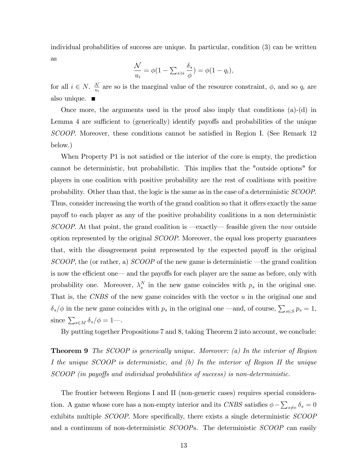individual probabilities of success are unique. In particular, condition (3) can be written as

$$
\frac{\mathcal{N}}{u_i} = \phi(1 - \sum_{s \ni i} \frac{\delta_s}{\phi}) = \phi(1 - q_i),
$$

for all  $i \in N$ .  $\frac{N}{u_i}$  are so is the marginal value of the resource constraint,  $\phi$ , and so  $q_i$  are also unique.  $\blacksquare$ 

Once more, the arguments used in the proof also imply that conditions (a)-(d) in Lemma 4 are sufficient to (generically) identify payoffs and probabilities of the unique SCOOP. Moreover, these conditions cannot be satisfied in Region I. (See Remark 12) below.)

When Property P1 is not satisfied or the interior of the core is empty, the prediction cannot be deterministic, but probabilistic. This implies that the "outside options" for players in one coalition with positive probability are the rest of coalitions with positive probability. Other than that, the logic is the same as in the case of a deterministic SCOOP. Thus, consider increasing the worth of the grand coalition so that it offers exactly the same payoff to each player as any of the positive probability coalitions in a non deterministic  $SCOOP$ . At that point, the grand coalition is  $—$ exactly—feasible given the now outside option represented by the original SCOOP. Moreover, the equal loss property guarantees that, with the disagreement point represented by the expected payoff in the original  $SCOOP$ , the (or rather, a)  $SCOOP$  of the new game is deterministic —the grand coalition is now the efficient one— and the payoffs for each player are the same as before, only with probability one. Moreover,  $\lambda_s^N$  $s<sub>s</sub>$  in the new game coincides with  $p<sub>s</sub>$  in the original one. That is, the CNBS of the new game coincides with the vector u in the original one and  $\delta_s/\phi$  in the new game coincides with  $p_s$  in the original one —and, of course,  $\sum_{s\in S}p_s = 1$ , since  $\sum_{s \in M} \delta_s / \phi = 1$ .

By putting together Propositions 7 and 8, taking Theorem 2 into account, we conclude:

**Theorem 9** The SCOOP is generically unique. Moreover: (a) In the interior of Region I the unique SCOOP is deterministic, and (b) In the interior of Region II the unique  $SCOOP$  (in payoffs and individual probabilities of success) is non-deterministic.

The frontier between Regions I and II (non-generic cases) requires special consideration. A game whose core has a non-empty interior and its CNBS satisfies  $\phi - \sum_{s \neq e} \delta_s = 0$ exhibits multiple  $SCOOP$ . More specifically, there exists a single deterministic  $SCOOP$ and a continuum of non-deterministic SCOOPs. The deterministic SCOOP can easily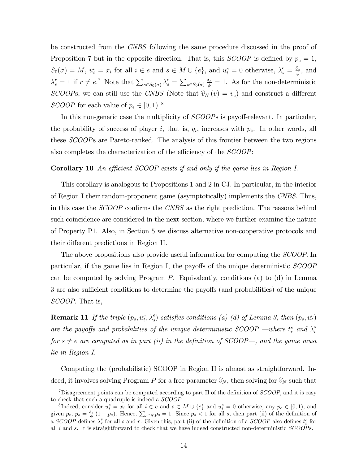be constructed from the CNBS following the same procedure discussed in the proof of Proposition 7 but in the opposite direction. That is, this  $SCOOP$  is defined by  $p_e = 1$ ,  $S_0(\sigma) = M$ ,  $u_i^s = x_i$  for all  $i \in e$  and  $s \in M \cup \{e\}$ , and  $u_i^s = 0$  otherwise,  $\lambda_s^e = \frac{\delta_s}{\phi}$  $\frac{\delta_s}{\phi}$ , and  $\lambda_s^r = 1$  if  $r \neq e$ .<sup>7</sup> Note that  $\sum_{s \in S_0(\sigma)} \lambda_s^e = \sum_{s \in S_0(\sigma)}$  $\frac{\delta_s}{\phi} = 1$ . As for the non-deterministic SCOOPs, we can still use the CNBS (Note that  $\hat{v}_N(v) = v_e$ ) and construct a different SCOOP for each value of  $p_e \in [0, 1)$ .<sup>8</sup>

In this non-generic case the multiplicity of  $SCOOPs$  is payoff-relevant. In particular, the probability of success of player i, that is,  $q_i$ , increases with  $p_e$ . In other words, all these SCOOPs are Pareto-ranked. The analysis of this frontier between the two regions also completes the characterization of the efficiency of the  $SCOOP$ :

#### **Corollary 10** An efficient SCOOP exists if and only if the game lies in Region I.

This corollary is analogous to Propositions 1 and 2 in CJ. In particular, in the interior of Region I their random-proponent game (asymptotically) implements the CNBS. Thus, in this case the *SCOOP* confirms the *CNBS* as the right prediction. The reasons behind such coincidence are considered in the next section, where we further examine the nature of Property P1. Also, in Section 5 we discuss alternative non-cooperative protocols and their different predictions in Region II.

The above propositions also provide useful information for computing the SCOOP. In particular, if the game lies in Region I, the payoffs of the unique deterministic  $SCOOP$ can be computed by solving Program P. Equivalently, conditions (a) to (d) in Lemma 3 are also sufficient conditions to determine the payoffs (and probabilities) of the unique SCOOP. That is,

**Remark 11** If the triple  $(p_s, u_i^s, \lambda_s^e)$  satisfies conditions (a)-(d) of Lemma 3, then  $(p_s, u_i^e)$ are the payoffs and probabilities of the unique deterministic SCOOP –where  $t_r^s$  and  $\lambda_i^s$ i for  $s \neq e$  are computed as in part (ii) in the definition of SCOOP—, and the game must lie in Region I.

Computing the (probabilistic) SCOOP in Region II is almost as straightforward. Indeed, it involves solving Program P for a free parameter  $\hat{v}_N$ , then solving for  $\hat{v}_N$  such that

<sup>&</sup>lt;sup>7</sup>Disagreement points can be computed according to part II of the definition of  $SCOOP$ , and it is easy to check that such a quadruple is indeed a SCOOP.

<sup>&</sup>lt;sup>8</sup>Indeed, consider  $u_i^s = x_i$  for all  $i \in e$  and  $s \in M \cup \{e\}$  and  $u_i^s = 0$  otherwise, any  $p_e \in [0,1)$ , and given  $p_e$ ,  $p_s = \frac{\delta_s}{\phi} (1 - p_e)$ . Hence,  $\sum_{s \in S} p_s = 1$ . Since  $p_s < 1$  for all s, then part (ii) of the definition of a  $SCOOP$  defines  $\lambda_r^s$  for all s and r. Given this, part (ii) of the definition of a  $SCOOP$  also defines  $t_i^s$  for all i and s. It is straightforward to check that we have indeed constructed non-deterministic SCOOPs.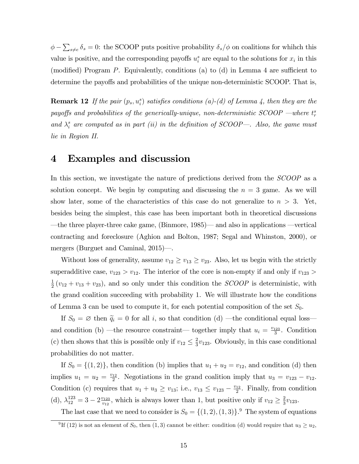$\phi - \sum_{s \neq e} \delta_s = 0$ : the SCOOP puts positive probability  $\delta_s/\phi$  on coalitions for whihch this value is positive, and the corresponding payoffs  $u_i^s$  are equal to the solutions for  $x_i$  in this (modified) Program P. Equivalently, conditions (a) to (d) in Lemma 4 are sufficient to determine the payoffs and probabilities of the unique non-deterministic SCOOP. That is,

**Remark 12** If the pair  $(p_s, u_i^s)$  satisfies conditions  $(a)$ - $(d)$  of Lemma 4, then they are the payoffs and probabilities of the generically-unique, non-deterministic  $\mathit{SCOOP}$  —where  $t_r^s$ and  $\lambda_i^s$  are computed as in part (ii) in the definition of SCOOP-. Also, the game must lie in Region II.

# 4 Examples and discussion

In this section, we investigate the nature of predictions derived from the *SCOOP* as a solution concept. We begin by computing and discussing the  $n = 3$  game. As we will show later, some of the characteristics of this case do not generalize to  $n > 3$ . Yet, besides being the simplest, this case has been important both in theoretical discussions —the three player-three cake game, (Binmore,  $1985$ )— and also in applications —vertical contracting and foreclosure (Aghion and Bolton, 1987; Segal and Whinston, 2000), or mergers (Burguet and Caminal,  $2015$ )—.

Without loss of generality, assume  $v_{12} \ge v_{13} \ge v_{23}$ . Also, let us begin with the strictly superadditive case,  $v_{123} > v_{12}$ . The interior of the core is non-empty if and only if  $v_{123} > v_{12}$ . 1  $\frac{1}{2}(v_{12}+v_{13}+v_{23})$ , and so only under this condition the *SCOOP* is deterministic, with the grand coalition succeeding with probability 1. We will illustrate how the conditions of Lemma 3 can be used to compute it, for each potential composition of the set  $S_0$ .

If  $S_0 = \emptyset$  then  $\tilde{q}_i = 0$  for all i, so that condition (d) —the conditional equal loss and condition (b) —the resource constraint— together imply that  $u_i = \frac{v_{123}}{3}$  $rac{123}{3}$ . Condition (c) then shows that this is possible only if  $v_{12} \leq \frac{2}{3}$  $\frac{2}{3}v_{123}$ . Obviously, in this case conditional probabilities do not matter.

If  $S_0 = \{(1,2)\}\$ , then condition (b) implies that  $u_1 + u_2 = v_{12}$ , and condition (d) then implies  $u_1 = u_2 = \frac{v_{12}}{2}$  $\frac{12}{2}$ . Negotiations in the grand coalition imply that  $u_3 = v_{123} - v_{12}$ . Condition (c) requires that  $u_1 + u_3 \ge v_{13}$ ; i.e.,  $v_{13} \le v_{123} - \frac{v_{12}}{2}$  $\frac{12}{2}$ . Finally, from condition (d),  $\lambda_{12}^{123} = 3 - 2 \frac{v_{123}}{v_{12}}$  $v_{12}^{v_{123}}$ , which is always lower than 1, but positive only if  $v_{12} \geq \frac{2}{3}$  $rac{2}{3}v_{123}.$ 

The last case that we need to consider is  $S_0 = \{(1, 2), (1, 3)\}$ . The system of equations

<sup>&</sup>lt;sup>9</sup>If (12) is not an element of  $S_0$ , then (1,3) cannot be either: condition (d) would require that  $u_3 \ge u_2$ ,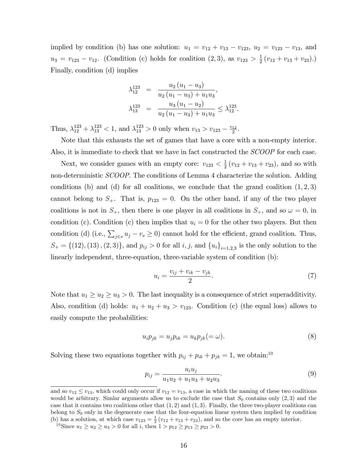implied by condition (b) has one solution:  $u_1 = v_{12} + v_{13} - v_{123}$ ,  $u_2 = v_{123} - v_{13}$ , and  $u_3 = v_{123} - v_{12}$ . (Condition (c) holds for coalition  $(2, 3)$ , as  $v_{123} > \frac{1}{2}$  $\frac{1}{2}(v_{12}+v_{13}+v_{23}).$ Finally, condition (d) implies

$$
\lambda_{12}^{123} = \frac{u_2 (u_1 - u_3)}{u_2 (u_1 - u_3) + u_1 u_3},
$$
  
\n
$$
\lambda_{13}^{123} = \frac{u_3 (u_1 - u_2)}{u_2 (u_1 - u_3) + u_1 u_3} \leq \lambda_{12}^{123}.
$$

Thus,  $\lambda_{12}^{123} + \lambda_{13}^{123} < 1$ , and  $\lambda_{13}^{123} > 0$  only when  $v_{13} > v_{123} - \frac{v_{12}}{2}$  $\frac{12}{2}$ .

Note that this exhausts the set of games that have a core with a non-empty interior. Also, it is immediate to check that we have in fact constructed the SCOOP for each case.

Next, we consider games with an empty core:  $v_{123} < \frac{1}{2}$  $\frac{1}{2}(v_{12}+v_{13}+v_{23}),$  and so with non-deterministic SCOOP. The conditions of Lemma 4 characterize the solution. Adding conditions (b) and (d) for all coalitions, we conclude that the grand coalition  $(1, 2, 3)$ cannot belong to  $S_+$ . That is,  $p_{123} = 0$ . On the other hand, if any of the two player coalitions is not in  $S_+$ , then there is one player in all coalitions in  $S_+$ , and so  $\omega = 0$ , in condition (c). Condition (c) then implies that  $u_i = 0$  for the other two players. But then condition (d) (i.e.,  $\sum_{j \in s} u_j - v_s \ge 0$ ) cannot hold for the efficient, grand coalition. Thus,  $S_+ = \{(12), (13), (2, 3)\}\$ , and  $p_{ij} > 0$  for all  $i, j$ , and  $\{u_i\}_{i=1,2,3}$  is the only solution to the linearly independent, three-equation, three-variable system of condition (b):

$$
u_i = \frac{v_{ij} + v_{ik} - v_{jk}}{2}.\tag{7}
$$

Note that  $u_1 \geq u_2 \geq u_3 > 0$ . The last inequality is a consequence of strict superadditivity. Also, condition (d) holds:  $u_1 + u_2 + u_3 > v_{123}$ . Condition (c) (the equal loss) allows to easily compute the probabilities:

$$
u_i p_{jk} = u_j p_{ik} = u_k p_{jk} (= \omega).
$$
\n(8)

Solving these two equations together with  $p_{ij} + p_{ik} + p_{jk} = 1$ , we obtain:<sup>10</sup>

$$
p_{ij} = \frac{u_i u_j}{u_1 u_2 + u_1 u_3 + u_2 u_3}.\tag{9}
$$

and so  $v_{12} \le v_{13}$ , which could only occur if  $v_{12} = v_{13}$ , a case in which the naming of these two coalitions would be arbitrary. Simlar arguments allow us to exclude the case that  $S_0$  contains only  $(2,3)$  and the case that it contains two coalitions other that  $(1, 2)$  and  $(1, 3)$ . Finally, the three two-player coalitions can belong to  $S_0$  only in the degenerate case that the four-equation linear system then implied by condition (b) has a solution, at which case  $v_{123} = \frac{1}{2} (v_{12} + v_{13} + v_{23})$ , and so the core has an empty interior.

<sup>&</sup>lt;sup>10</sup>Since  $u_1 \ge u_2 \ge u_3 > 0$  for all *i*, then  $1 > p_{12} \ge p_{13} \ge p_{23} > 0$ .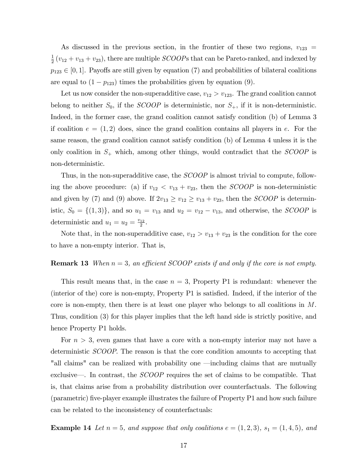As discussed in the previous section, in the frontier of these two regions,  $v_{123} =$ 1  $\frac{1}{2}(v_{12}+v_{13}+v_{23})$ , there are multiple *SCOOPs* that can be Pareto-ranked, and indexed by  $p_{123} \in [0, 1]$ . Payoffs are still given by equation (7) and probabilities of bilateral coalitions are equal to  $(1 - p_{123})$  times the probabilities given by equation (9).

Let us now consider the non-superadditive case,  $v_{12} > v_{123}$ . The grand coalition cannot belong to neither  $S_0$ , if the *SCOOP* is deterministic, nor  $S_+$ , if it is non-deterministic. Indeed, in the former case, the grand coalition cannot satisfy condition (b) of Lemma 3 if coalition  $e = (1, 2)$  does, since the grand coalition contains all players in e. For the same reason, the grand coalition cannot satisfy condition (b) of Lemma 4 unless it is the only coalition in  $S_+$  which, among other things, would contradict that the *SCOOP* is non-deterministic.

Thus, in the non-superadditive case, the *SCOOP* is almost trivial to compute, following the above procedure: (a) if  $v_{12} < v_{13} + v_{23}$ , then the *SCOOP* is non-deterministic and given by (7) and (9) above. If  $2v_{13} \ge v_{12} \ge v_{13} + v_{23}$ , then the *SCOOP* is deterministic,  $S_0 = \{(1,3)\}\$ , and so  $u_1 = v_{13}$  and  $u_2 = v_{12} - v_{13}$ , and otherwise, the *SCOOP* is deterministic and  $u_1 = u_2 = \frac{v_{12}}{2}$  $\frac{12}{2}$ .

Note that, in the non-superadditive case,  $v_{12} > v_{13} + v_{23}$  is the condition for the core to have a non-empty interior. That is,

#### **Remark 13** When  $n = 3$ , an efficient SCOOP exists if and only if the core is not empty.

This result means that, in the case  $n = 3$ , Property P1 is redundant: whenever the  $(interior of the) core is non-empty, Property P1 is satisfied. Indeed, if the interior of the$ core is non-empty, then there is at least one player who belongs to all coalitions in M. Thus, condition (3) for this player implies that the left hand side is strictly positive, and hence Property P1 holds.

For  $n > 3$ , even games that have a core with a non-empty interior may not have a deterministic SCOOP. The reason is that the core condition amounts to accepting that "all claims" can be realized with probability one —including claims that are mutually exclusive—. In contrast, the  $SCOOP$  requires the set of claims to be compatible. That is, that claims arise from a probability distribution over counterfactuals. The following (parametric) Öve-player example illustrates the failure of Property P1 and how such failure can be related to the inconsistency of counterfactuals:

**Example 14** Let  $n = 5$ , and suppose that only coalitions  $e = (1, 2, 3)$ ,  $s_1 = (1, 4, 5)$ , and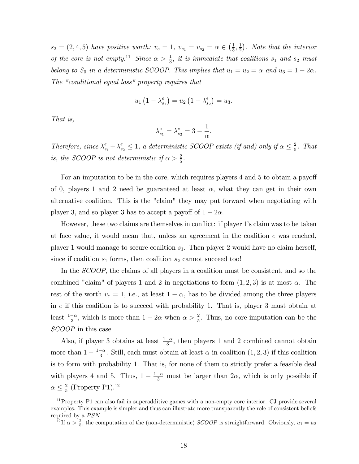$s_2 = (2, 4, 5)$  have positive worth:  $v_e = 1, v_{s_1} = v_{s_2} = \alpha \in \left(\frac{1}{3}\right)$  $\frac{1}{3}, \frac{1}{2}$  $(\frac{1}{2})$ . Note that the interior of the core is not empty.<sup>11</sup> Since  $\alpha > \frac{1}{3}$ , it is immediate that coalitions  $s_1$  and  $s_2$  must belong to  $S_0$  in a deterministic SCOOP. This implies that  $u_1 = u_2 = \alpha$  and  $u_3 = 1 - 2\alpha$ . The "conditional equal loss" property requires that

$$
u_1\left(1 - \lambda_{s_1}^e\right) = u_2\left(1 - \lambda_{s_2}^e\right) = u_3.
$$

That is,

$$
\lambda_{s_1}^e = \lambda_{s_2}^e = 3 - \frac{1}{\alpha}.
$$

Therefore, since  $\lambda_{s_1}^e + \lambda_{s_2}^e \leq 1$ , a deterministic SCOOP exists (if and) only if  $\alpha \leq \frac{2}{5}$  $rac{2}{5}$ . That is, the SCOOP is not deterministic if  $\alpha > \frac{2}{5}$ .

For an imputation to be in the core, which requires players  $4$  and  $5$  to obtain a payoff of 0, players 1 and 2 need be guaranteed at least  $\alpha$ , what they can get in their own alternative coalition. This is the "claim" they may put forward when negotiating with player 3, and so player 3 has to accept a payoff of  $1 - 2\alpha$ .

However, these two claims are themselves in conflict: if player 1's claim was to be taken at face value, it would mean that, unless an agreement in the coalition e was reached, player 1 would manage to secure coalition  $s_1$ . Then player 2 would have no claim herself, since if coalition  $s_1$  forms, then coalition  $s_2$  cannot succeed too!

In the SCOOP, the claims of all players in a coalition must be consistent, and so the combined "claim" of players 1 and 2 in negotiations to form  $(1, 2, 3)$  is at most  $\alpha$ . The rest of the worth  $v_e = 1$ , i.e., at least  $1 - \alpha$ , has to be divided among the three players in e if this coalition is to succeed with probability 1. That is, player 3 must obtain at least  $\frac{1-\alpha}{3}$ , which is more than  $1-2\alpha$  when  $\alpha > \frac{2}{5}$ . Thus, no core imputation can be the SCOOP in this case.

Also, if player 3 obtains at least  $\frac{1-\alpha}{3}$ , then players 1 and 2 combined cannot obtain more than  $1 - \frac{1-\alpha}{3}$ . Still, each must obtain at least  $\alpha$  in coalition  $(1, 2, 3)$  if this coalition is to form with probability 1. That is, for none of them to strictly prefer a feasible deal with players 4 and 5. Thus,  $1 - \frac{1-\alpha}{3}$  must be larger than  $2\alpha$ , which is only possible if  $\alpha \leq \frac{2}{5}$  $\frac{2}{5}$  (Property P1).<sup>12</sup>

 $11$ Property P1 can also fail in superadditive games with a non-empty core interior. CJ provide several examples. This example is simpler and thus can illustrate more transparently the role of consistent beliefs required by a  $PSN$ .

<sup>&</sup>lt;sup>12</sup>If  $\alpha > \frac{2}{5}$ , the computation of the (non-deterministic) *SCOOP* is straightforward. Obviously,  $u_1 = u_2$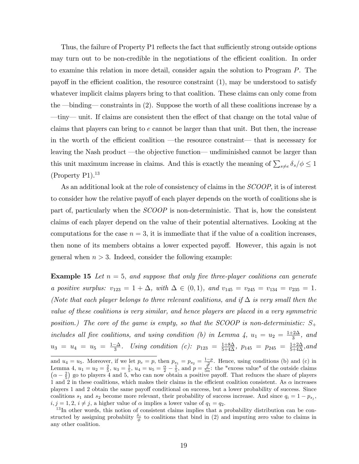Thus, the failure of Property P1 reflects the fact that sufficiently strong outside options may turn out to be non-credible in the negotiations of the efficient coalition. In order to examine this relation in more detail, consider again the solution to Program P. The payoff in the efficient coalition, the resource constraint  $(1)$ , may be understood to satisfy whatever implicit claims players bring to that coalition. These claims can only come from the  $\rightarrow$  binding  $\rightarrow$  constraints in (2). Suppose the worth of all these coalitions increase by a ó tinyó unit. If claims are consistent then the e§ect of that change on the total value of claims that players can bring to e cannot be larger than that unit. But then, the increase in the worth of the efficient coalition  $\text{---}$  the resource constraint— that is necessary for leaving the Nash product —the objective function— undiminished cannot be larger than this unit maximum increase in claims. And this is exactly the meaning of  $\sum_{s\neq e}\delta_s/\phi \leq 1$  $(Property P1).<sup>13</sup>$ 

As an additional look at the role of consistency of claims in the SCOOP, it is of interest to consider how the relative payoff of each player depends on the worth of coalitions she is part of, particularly when the SCOOP is non-deterministic. That is, how the consistent claims of each player depend on the value of their potential alternatives. Looking at the computations for the case  $n = 3$ , it is immediate that if the value of a coalition increases, then none of its members obtains a lower expected payoff. However, this again is not general when  $n > 3$ . Indeed, consider the following example:

**Example 15** Let  $n = 5$ , and suppose that only five three-player coalitions can generate a positive surplus:  $v_{123} = 1 + \Delta$ , with  $\Delta \in (0, 1)$ , and  $v_{145} = v_{245} = v_{134} = v_{235} = 1$ . (Note that each player belongs to three relevant coalitions, and if  $\Delta$  is very small then the value of these coalitions is very similar, and hence players are placed in a very symmetric position.) The core of the game is empty, so that the SCOOP is non-deterministic:  $S_+$ includes all five coalitions, and using condition (b) in Lemma 4,  $u_1 = u_2 = \frac{1+2\Delta}{3}$  $\frac{-2\Delta}{3}$ , and  $u_3 = u_4 = u_5 = \frac{1-\Delta}{3}$ . Using condition (c):  $p_{123} = \frac{1+8\Delta}{5+4\Delta}$ ,  $p_{145} = p_{245} = \frac{1+2\Delta}{5+4\Delta}$ , and

and  $u_4 = u_5$ . Moreover, if we let  $p_e = p$ , then  $p_{s_1} = p_{s_2} = \frac{1-p}{2}$ . Hence, using conditions (b) and (c) in Lemma 4,  $u_1 = u_2 = \frac{2}{5}$ ,  $u_3 = \frac{1}{5}$ ,  $u_4 = u_5 = \frac{\alpha}{2} - \frac{1}{5}$ , and  $p = \frac{2}{5\alpha}$ : the "excess value" of the outside claims  $(\alpha - \frac{2}{5})$  go to players 4 and 5, who can now obtain a positive payoff. That reduces the share of players 1 and 2 in these coalitions, which makes their claims in the efficient coalition consistent. As  $\alpha$  increases players 1 and 2 obtain the same payoff conditional on success, but a lower probability of success. Since coalitions  $s_1$  and  $s_2$  become more relevant, their probability of success increase. And since  $q_i = 1 - p_{s_j}$ ,  $i, j = 1, 2, i \neq j$ , a higher value of  $\alpha$  implies a lower value of  $q_1 = q_2$ .

 $13$ In other words, this notion of consistent claims implies that a probability distribution can be constructed by assigning probabiity  $\frac{\delta_s}{\phi}$  to coalitions that bind in (2) and imputing zero value to claims in any other coalition.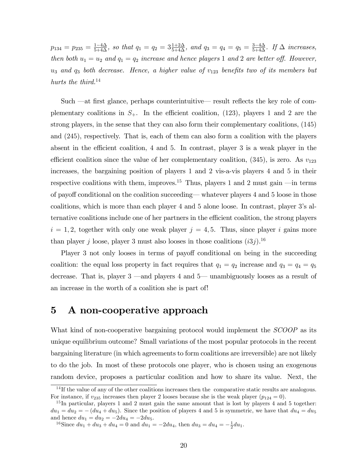$p_{134} = p_{235} = \frac{1-4\Delta}{5+4\Delta}$ , so that  $q_1 = q_2 = 3\frac{1+2\Delta}{5+4\Delta}$ , and  $q_3 = q_4 = q_5 = \frac{3-4\Delta}{5+4\Delta}$ . If  $\Delta$  increases, then both  $u_1 = u_2$  and  $q_1 = q_2$  increase and hence players 1 and 2 are better off. However,  $u_3$  and  $q_3$  both decrease. Hence, a higher value of  $v_{123}$  benefits two of its members but hurts the third.<sup>14</sup>

Such  $\rightarrow$  dt first glance, perhaps counterintuitive— result reflects the key role of complementary coalitions in  $S_+$ . In the efficient coalition, (123), players 1 and 2 are the strong players, in the sense that they can also form their complementary coalitions, (145) and (245), respectively. That is, each of them can also form a coalition with the players absent in the efficient coalition,  $4$  and  $5$ . In contrast, player  $3$  is a weak player in the efficient coalition since the value of her complementary coalition,  $(345)$ , is zero. As  $v_{123}$ increases, the bargaining position of players 1 and 2 vis-a-vis players 4 and 5 in their respective coalitions with them, improves.<sup>15</sup> Thus, players 1 and 2 must gain  $\text{---}$  in terms of payoff conditional on the coalition succeeding—whatever players 4 and 5 loose in those coalitions, which is more than each player 4 and 5 alone loose. In contrast, player 3ís alternative coalitions include one of her partners in the efficient coalition, the strong players  $i = 1, 2$ , together with only one weak player  $j = 4, 5$ . Thus, since player i gains more than player j loose, player 3 must also looses in those coalitions  $(i3j)$ .<sup>16</sup>

Player 3 not only looses in terms of payoff conditional on being in the succeeding coalition: the equal loss property in fact requires that  $q_1 = q_2$  increase and  $q_3 = q_4 = q_5$ decrease. That is, player  $3$  —and players 4 and  $5$ — unambiguously looses as a result of an increase in the worth of a coalition she is part of!

# 5 A non-cooperative approach

What kind of non-cooperative bargaining protocol would implement the *SCOOP* as its unique equilibrium outcome? Small variations of the most popular protocols in the recent bargaining literature (in which agreements to form coalitions are irreversible) are not likely to do the job. In most of these protocols one player, who is chosen using an exogenous random device, proposes a particular coalition and how to share its value. Next, the

 $14$  If the value of any of the other coalitions increases then the comparative static results are analogous. For instance, if  $v_{235}$  increases then player 2 looses because she is the weak player  $(p_{124} = 0)$ .

 $15$  In particular, players 1 and 2 must gain the same amount that is lost by players 4 and 5 together:  $du_1 = du_2 = -(du_4 + du_5)$ . Since the position of players 4 and 5 is symmetric, we have that  $du_4 = du_5$ and hence  $du_1 = du_2 = -2du_4 = -2du_5$ .

<sup>&</sup>lt;sup>16</sup>Since  $du_1 + du_3 + du_4 = 0$  and  $du_1 = -2du_4$ , then  $du_3 = du_4 = -\frac{1}{2}du_1$ .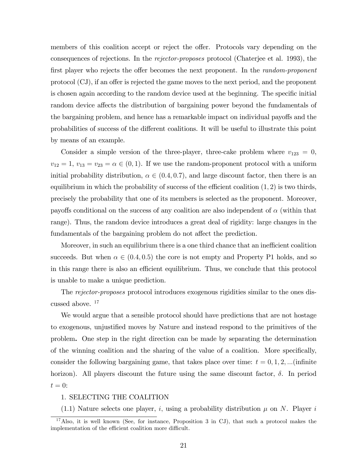members of this coalition accept or reject the offer. Protocols vary depending on the consequences of rejections. In the rejector-proposes protocol (Chaterjee et al. 1993), the first player who rejects the offer becomes the next proponent. In the *random-proponent* protocol (CJ), if an offer is rejected the game moves to the next period, and the proponent is chosen again according to the random device used at the beginning. The specific initial random device affects the distribution of bargaining power beyond the fundamentals of the bargaining problem, and hence has a remarkable impact on individual payoffs and the probabilities of success of the different coalitions. It will be useful to illustrate this point by means of an example.

Consider a simple version of the three-player, three-cake problem where  $v_{123} = 0$ ,  $v_{12} = 1, v_{13} = v_{23} = \alpha \in (0, 1)$ . If we use the random-proponent protocol with a uniform initial probability distribution,  $\alpha \in (0.4, 0.7)$ , and large discount factor, then there is an equilibrium in which the probability of success of the efficient coalition  $(1, 2)$  is two thirds, precisely the probability that one of its members is selected as the proponent. Moreover, payoffs conditional on the success of any coalition are also independent of  $\alpha$  (within that range). Thus, the random device introduces a great deal of rigidity: large changes in the fundamentals of the bargaining problem do not affect the prediction.

Moreover, in such an equilibrium there is a one third chance that an inefficient coalition succeeds. But when  $\alpha \in (0.4, 0.5)$  the core is not empty and Property P1 holds, and so in this range there is also an efficient equilibrium. Thus, we conclude that this protocol is unable to make a unique prediction.

The rejector-proposes protocol introduces exogenous rigidities similar to the ones discussed above. <sup>17</sup>

We would argue that a sensible protocol should have predictions that are not hostage to exogenous, unjustified moves by Nature and instead respond to the primitives of the problem. One step in the right direction can be made by separating the determination of the winning coalition and the sharing of the value of a coalition. More specifically, consider the following bargaining game, that takes place over time:  $t = 0, 1, 2, ...$  (infinite horizon). All players discount the future using the same discount factor,  $\delta$ . In period  $t = 0$ :

#### 1. SELECTING THE COALITION

 $(1.1)$  Nature selects one player, i, using a probability distribution  $\mu$  on N. Player i

<sup>&</sup>lt;sup>17</sup>Also, it is well known (See, for instance, Proposition 3 in CJ), that such a protocol makes the implementation of the efficient coalition more difficult.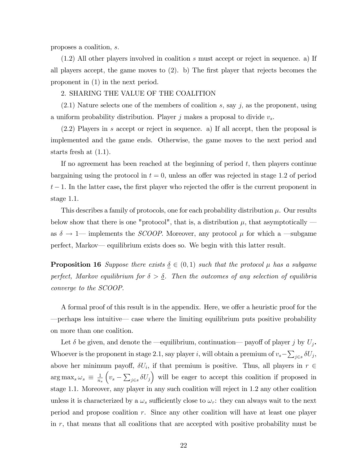proposes a coalition, s:

(1.2) All other players involved in coalition s must accept or reject in sequence. a) If all players accept, the game moves to  $(2)$ . b) The first player that rejects becomes the proponent in (1) in the next period.

#### 2. SHARING THE VALUE OF THE COALITION

 $(2.1)$  Nature selects one of the members of coalition s, say j, as the proponent, using a uniform probability distribution. Player j makes a proposal to divide  $v_s$ .

(2.2) Players in s accept or reject in sequence. a) If all accept, then the proposal is implemented and the game ends. Otherwise, the game moves to the next period and starts fresh at (1.1).

If no agreement has been reached at the beginning of period  $t$ , then players continue bargaining using the protocol in  $t = 0$ , unless an offer was rejected in stage 1.2 of period  $t-1$ . In the latter case, the first player who rejected the offer is the current proponent in stage 1.1.

This describes a family of protocols, one for each probability distribution  $\mu$ . Our results below show that there is one "protocol", that is, a distribution  $\mu$ , that asymptotically  $$ as  $\delta \rightarrow 1$  implements the *SCOOP*. Moreover, any protocol  $\mu$  for which a  $\rightarrow$  subgame perfect, Markov— equilibrium exists does so. We begin with this latter result.

**Proposition 16** Suppose there exists  $\delta \in (0, 1)$  such that the protocol  $\mu$  has a subgame perfect, Markov equilibrium for  $\delta > \underline{\delta}$ . Then the outcomes of any selection of equilibria converge to the SCOOP.

A formal proof of this result is in the appendix. Here, we offer a heuristic proof for the perhaps less intuitive— case where the limiting equilibrium puts positive probability on more than one coalition.

Let  $\delta$  be given, and denote the  $\text{--}$  equilibrium, continuation— payoff of player j by  $U_j$ . Whoever is the proponent in stage 2.1, say player *i*, will obtain a premium of  $v_s - \sum_{j \in s} \delta U_j$ , above her minimum payoff,  $\delta U_i$ , if that premium is positive. Thus, all players in  $r \in$  $\arg \max_{s} \omega_s \equiv \frac{1}{n_s}$  $n<sub>s</sub>$  $(v_s - \sum_{j \in s} \delta U_j)$  will be eager to accept this coalition if proposed in stage 1.1. Moreover, any player in any such coalition will reject in 1.2 any other coalition unless it is characterized by a  $\omega_s$  sufficiently close to  $\omega_r$ : they can always wait to the next period and propose coalition  $r$ . Since any other coalition will have at least one player in  $r$ , that means that all coalitions that are accepted with positive probability must be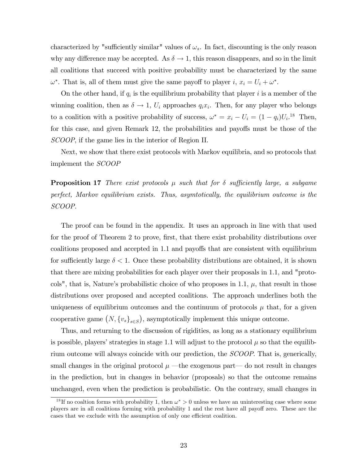characterized by "sufficiently similar" values of  $\omega_s$ . In fact, discounting is the only reason why any difference may be accepted. As  $\delta \to 1$ , this reason disappears, and so in the limit all coalitions that succeed with positive probability must be characterized by the same  $\omega^*$ . That is, all of them must give the same payoff to player i,  $x_i = U_i + \omega^*$ .

On the other hand, if  $q_i$  is the equilibrium probability that player i is a member of the winning coalition, then as  $\delta \to 1$ ,  $U_i$  approaches  $q_i x_i$ . Then, for any player who belongs to a coalition with a positive probability of success,  $\omega^* = x_i - U_i = (1 - q_i)U_i^{18}$  Then, for this case, and given Remark 12, the probabilities and payoffs must be those of the SCOOP, if the game lies in the interior of Region II.

Next, we show that there exist protocols with Markov equilibria, and so protocols that implement the SCOOP

**Proposition 17** There exist protocols  $\mu$  such that for  $\delta$  sufficiently large, a subgame perfect, Markov equilibrium exists. Thus, asymtotically, the equilibrium outcome is the SCOOP.

The proof can be found in the appendix. It uses an approach in line with that used for the proof of Theorem 2 to prove, first, that there exist probability distributions over coalitions proposed and accepted in 1.1 and payoffs that are consistent with equilibrium for sufficiently large  $\delta < 1$ . Once these probability distributions are obtained, it is shown that there are mixing probabilities for each player over their proposals in 1.1, and "protocols", that is, Nature's probabilistic choice of who proposes in 1.1,  $\mu$ , that result in those distributions over proposed and accepted coalitions. The approach underlines both the uniqueness of equilibrium outcomes and the continuum of protocols  $\mu$  that, for a given cooperative game  $(N, \{v_s\}_{s \in S})$ , asymptotically implement this unique outcome.

Thus, and returning to the discussion of rigidities, as long as a stationary equilibrium is possible, players' strategies in stage 1.1 will adjust to the protocol  $\mu$  so that the equilibrium outcome will always coincide with our prediction, the SCOOP. That is, generically, small changes in the original protocol  $\mu$  —the exogenous part— do not result in changes in the prediction, but in changes in behavior (proposals) so that the outcome remains unchanged, even when the prediction is probabilistic. On the contrary, small changes in

<sup>&</sup>lt;sup>18</sup>If no coaltion forms with probability 1, then  $\omega^* > 0$  unless we have an uninteresting case where some players are in all coalitions forming with probability 1 and the rest have all payoff zero. These are the cases that we exclude with the assumption of only one efficient coalition.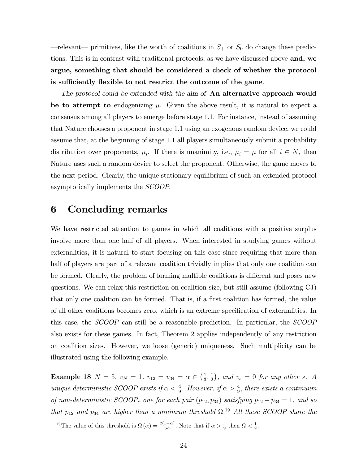$\rightarrow$  relevant $\rightarrow$  primitives, like the worth of coalitions in  $S_+$  or  $S_0$  do change these predictions. This is in contrast with traditional protocols, as we have discussed above and, we argue, something that should be considered a check of whether the protocol is sufficiently flexible to not restrict the outcome of the game.

The protocol could be extended with the aim of **An alternative approach would** be to attempt to endogenizing  $\mu$ . Given the above result, it is natural to expect a consensus among all players to emerge before stage 1.1. For instance, instead of assuming that Nature chooses a proponent in stage 1.1 using an exogenous random device, we could assume that, at the beginning of stage 1.1 all players simultaneously submit a probability distribution over proponents,  $\mu_i$ . If there is unanimity, i.e.,  $\mu_i = \mu$  for all  $i \in N$ , then Nature uses such a random device to select the proponent. Otherwise, the game moves to the next period. Clearly, the unique stationary equilibrium of such an extended protocol asymptotically implements the SCOOP.

# 6 Concluding remarks

We have restricted attention to games in which all coalitions with a positive surplus involve more than one half of all players. When interested in studying games without externalities, it is natural to start focusing on this case since requiring that more than half of players are part of a relevant coalition trivially implies that only one coalition can be formed. Clearly, the problem of forming multiple coalitions is different and poses new questions. We can relax this restriction on coalition size, but still assume (following CJ) that only one coalition can be formed. That is, if a first coalition has formed, the value of all other coalitions becomes zero, which is an extreme specification of externalities. In this case, the SCOOP can still be a reasonable prediction. In particular, the SCOOP also exists for these games. In fact, Theorem 2 applies independently of any restriction on coalition sizes. However, we loose (generic) uniqueness. Such multiplicity can be illustrated using the following example.

**Example 18**  $N = 5$ ,  $v_N = 1$ ,  $v_{12} = v_{34} = \alpha \in \left(\frac{1}{3}\right)$  $\frac{1}{3}, \frac{1}{2}$  $(\frac{1}{2})$ , and  $v_s = 0$  for any other s. A unique deterministic SCOOP exists if  $\alpha < \frac{4}{9}$ . However, if  $\alpha > \frac{4}{9}$ , there exists a continuum of non-deterministic SCOOP, one for each pair  $(p_{12}, p_{34})$  satisfying  $p_{12} + p_{34} = 1$ , and so that  $p_{12}$  and  $p_{34}$  are higher than a minimum threshold  $\Omega$ .<sup>19</sup> All these SCOOP share the

<sup>&</sup>lt;sup>19</sup>The value of this threshold is  $\Omega(\alpha) = \frac{2(1-\alpha)}{5\alpha}$ . Note that if  $\alpha > \frac{4}{9}$  then  $\Omega < \frac{1}{2}$ .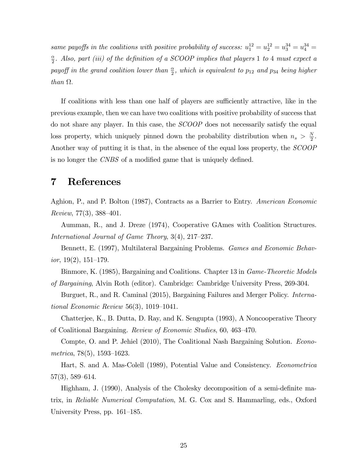same payoffs in the coalitions with positive probability of success:  $u_1^{12} = u_2^{12} = u_3^{34} = u_4^{34} =$  $\alpha$  $\frac{\alpha}{2}$ . Also, part (iii) of the definition of a SCOOP implies that players 1 to 4 must expect a payoff in the grand coalition lower than  $\frac{\alpha}{2}$ , which is equivalent to  $p_{12}$  and  $p_{34}$  being higher than  $\Omega$ .

If coalitions with less than one half of players are sufficiently attractive, like in the previous example, then we can have two coalitions with positive probability of success that do not share any player. In this case, the SCOOP does not necessarily satisfy the equal loss property, which uniquely pinned down the probability distribution when  $n_s > \frac{N}{2}$  $\frac{N}{2}$ . Another way of putting it is that, in the absence of the equal loss property, the SCOOP is no longer the CNBS of a modified game that is uniquely defined.

# 7 References

Aghion, P., and P. Bolton (1987), Contracts as a Barrier to Entry. American Economic Review,  $77(3)$ ,  $388-401$ .

Aumman, R., and J. Dreze (1974), Cooperative GAmes with Coalition Structures. International Journal of Game Theory,  $3(4)$ ,  $217-237$ .

Bennett, E. (1997), Multilateral Bargaining Problems. Games and Economic Behavior,  $19(2)$ ,  $151-179$ .

Binmore, K. (1985), Bargaining and Coalitions. Chapter 13 in Game-Theoretic Models of Bargaining, Alvin Roth (editor). Cambridge: Cambridge University Press, 269-304.

Burguet, R., and R. Caminal (2015), Bargaining Failures and Merger Policy. *Interna*tional Economic Review 56(3),  $1019-1041$ .

Chatterjee, K., B. Dutta, D. Ray, and K. Sengupta (1993), A Noncooperative Theory of Coalitional Bargaining. Review of Economic Studies, 60, 463-470.

Compte, O. and P. Jehiel (2010), The Coalitional Nash Bargaining Solution. Econometrica, 78 $(5)$ , 1593–1623.

Hart, S. and A. Mas-Colell (1989), Potential Value and Consistency. Econometrica  $57(3)$ ,  $589-614$ .

Highham, J. (1990), Analysis of the Cholesky decomposition of a semi-definite matrix, in Reliable Numerical Computation, M. G. Cox and S. Hammarling, eds., Oxford University Press, pp.  $161-185$ .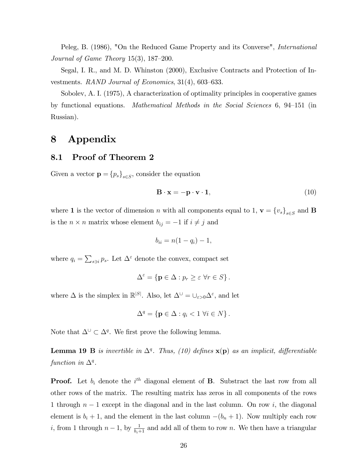Peleg, B. (1986), "On the Reduced Game Property and its Converse", *International* Journal of Game Theory  $15(3)$ ,  $187-200$ .

Segal, I. R., and M. D. Whinston (2000), Exclusive Contracts and Protection of Investments. RAND Journal of Economics,  $31(4)$ ,  $603-633$ .

Sobolev, A. I. (1975), A characterization of optimality principles in cooperative games by functional equations. Mathematical Methods in the Social Sciences  $6, 94-151$  (in Russian).

# 8 Appendix

### 8.1 Proof of Theorem 2

Given a vector  $\mathbf{p} = \{p_s\}_{s \in S}$ , consider the equation

$$
\mathbf{B} \cdot \mathbf{x} = -\mathbf{p} \cdot \mathbf{v} \cdot \mathbf{1},\tag{10}
$$

where **1** is the vector of dimension *n* with all components equal to 1,  $\mathbf{v} = \{v_s\}_{s \in S}$  and **B** is the  $n \times n$  matrix whose element  $b_{ij} = -1$  if  $i \neq j$  and

$$
b_{ii}=n(1-q_i)-1,
$$

where  $q_i = \sum_{s \ni i} p_s$ . Let  $\Delta^{\varepsilon}$  denote the convex, compact set

$$
\Delta^{\varepsilon} = \left\{ \mathbf{p} \in \Delta : p_r \geq \varepsilon \,\,\forall r \in S \right\}.
$$

where  $\Delta$  is the simplex in  $\mathbb{R}^{|S|}$ . Also, let  $\Delta^{\cup} = \cup_{\varepsilon > 0} \Delta^{\varepsilon}$ , and let

$$
\Delta^{q} = \left\{ \mathbf{p} \in \Delta : q_{i} < 1 \ \forall i \in N \right\}.
$$

Note that  $\Delta^{\cup} \subset \Delta^q$ . We first prove the following lemma.

**Lemma 19 B** is invertible in  $\Delta^q$ . Thus, (10) defines  $\mathbf{x}(\mathbf{p})$  as an implicit, differentiable function in  $\Delta^q$ .

**Proof.** Let  $b_i$  denote the  $i^{th}$  diagonal element of **B**. Substract the last row from all other rows of the matrix. The resulting matrix has zeros in all components of the rows 1 through  $n-1$  except in the diagonal and in the last column. On row i, the diagonal element is  $b_i + 1$ , and the element in the last column  $-(b_n + 1)$ . Now multiply each row *i*, from 1 through  $n-1$ , by  $\frac{1}{b_i+1}$  and add all of them to row n. We then have a triangular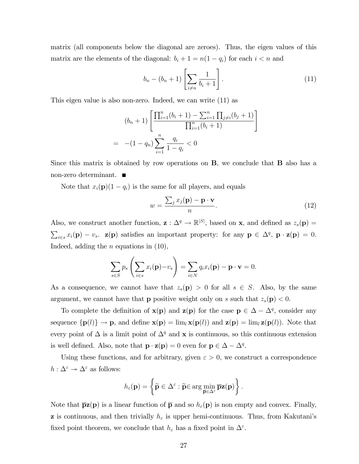matrix (all components below the diagonal are zeroes). Thus, the eigen values of this matrix are the elements of the diagonal:  $b_i + 1 = n(1 - q_i)$  for each  $i < n$  and

$$
b_n - (b_n + 1) \left[ \sum_{i \neq n} \frac{1}{b_i + 1} \right]. \tag{11}
$$

This eigen value is also non-zero. Indeed, we can write (11) as

$$
(b_n + 1) \left[ \frac{\prod_{i=1}^n (b_i + 1) - \sum_{i=1}^n \prod_{j \neq i} (b_j + 1)}{\prod_{i=1}^n (b_i + 1)} \right]
$$
  
= -(1 - q<sub>n</sub>)  $\sum_{i=1}^n \frac{q_i}{1 - q_i} < 0$ 

Since this matrix is obtained by row operations on B, we conclude that B also has a non-zero determinant.

Note that  $x_i(\mathbf{p})(1 - q_i)$  is the same for all players, and equals

$$
w = \frac{\sum_{j} x_j(\mathbf{p}) - \mathbf{p} \cdot \mathbf{v}}{n}.
$$
 (12)

Also, we construct another function,  $\mathbf{z}: \Delta^q \to \mathbb{R}^{|S|}$ , based on  $\mathbf{x}$ , and defined as  $z_s(\mathbf{p}) =$  $\sum_{i\in s} x_i(\mathbf{p}) - v_s$ .  $\mathbf{z}(\mathbf{p})$  satisfies an important property: for any  $\mathbf{p} \in \Delta^q$ ,  $\mathbf{p} \cdot \mathbf{z}(\mathbf{p}) = 0$ . Indeed, adding the  $n$  equations in  $(10)$ ,

$$
\sum_{s\in S} p_s \left( \sum_{i\in s} x_i(\mathbf{p}) - v_s \right) = \sum_{i\in N} q_i x_i(\mathbf{p}) - \mathbf{p} \cdot \mathbf{v} = 0.
$$

As a consequence, we cannot have that  $z_s(\mathbf{p}) > 0$  for all  $s \in S$ . Also, by the same argument, we cannot have that **p** positive weight only on s such that  $z_s(\mathbf{p}) < 0$ .

To complete the definition of  $\mathbf{x}(\mathbf{p})$  and  $\mathbf{z}(\mathbf{p})$  for the case  $\mathbf{p} \in \Delta - \Delta^q$ , consider any sequence  $\{p(l)\}\to p$ , and define  $\mathbf{x}(p) = \lim_{l} \mathbf{x}(p(l))$  and  $\mathbf{z}(p) = \lim_{l} \mathbf{z}(p(l))$ . Note that every point of  $\Delta$  is a limit point of  $\Delta^q$  and **x** is continuous, so this continuous extension is well defined. Also, note that  $\mathbf{p} \cdot \mathbf{z}(\mathbf{p}) = 0$  even for  $\mathbf{p} \in \Delta - \Delta^q$ .

Using these functions, and for arbitrary, given  $\varepsilon > 0$ , we construct a correspondence  $h: \Delta^\varepsilon \twoheadrightarrow \Delta^\varepsilon$  as follows:

$$
h_{\varepsilon}(\mathbf{p}) = \left\{ \widetilde{\mathbf{p}} \in \Delta^{\varepsilon} : \widetilde{\mathbf{p}} \text{ for any } \overline{\mathbf{p}} \mathbf{z}(\mathbf{p}) \right\}.
$$

Note that  $\bar{p}z(p)$  is a linear function of  $\bar{p}$  and so  $h_{\varepsilon}(p)$  is non empty and convex. Finally, **z** is continuous, and then trivially  $h_{\varepsilon}$  is upper hemi-continuous. Thus, from Kakutani's fixed point theorem, we conclude that  $h_{\varepsilon}$  has a fixed point in  $\Delta^{\varepsilon}$ .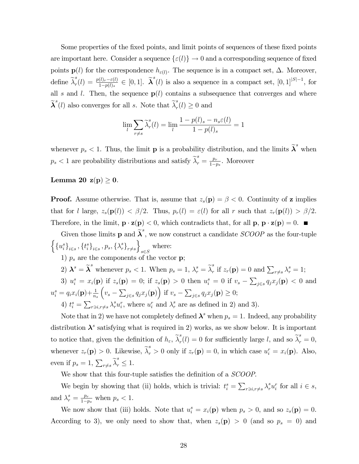Some properties of the fixed points, and limit points of sequences of these fixed points are important here. Consider a sequence  $\{\varepsilon(l)\}\to 0$  and a corresponding sequence of fixed points  $p(l)$  for the correspondence  $h_{\varepsilon(l)}$ . The sequence is in a compact set,  $\Delta$ . Moreover, define  $\widetilde{\lambda}_r^s$  $\mathcal{L}_{r}(l) = \frac{p(l)_{r}-\varepsilon(l)}{1-p(l)_{s}} \in [0,1].$   $\widetilde{\lambda}^{s}(l)$  is also a sequence in a compact set,  $[0,1]^{|S|-1}$ , for all s and l. Then, the sequence  $p(l)$  contains a subsequence that converges and where  $\widetilde{\boldsymbol{\lambda}}^s(l)$  also converges for all  $s.$  Note that  $\widetilde{\lambda}^s_r$  $r(r) \geq 0$  and

$$
\lim_{l} \sum_{r \neq s} \widetilde{\lambda}_r^s(l) = \lim_{l} \frac{1 - p(l)_s - n_s \varepsilon(l)}{1 - p(l)_s} = 1
$$

whenever  $p_s < 1$ . Thus, the limit **p** is a probability distribution, and the limits  $\tilde{\lambda}^s$  when  $p_s < 1$  are probability distributions and satisfy  $\widetilde{\lambda}_r^s = \frac{p_r}{1-p_s}$  $\frac{p_r}{1-p_s}$ . Moreover

### Lemma 20  $z(p) \geq 0$ .

**Proof.** Assume otherwise. That is, assume that  $z_s(\mathbf{p}) = \beta < 0$ . Continuity of **z** implies that for l large,  $z_s(\mathbf{p}(l)) < \beta/2$ . Thus,  $p_r(l) = \varepsilon(l)$  for all r such that  $z_r(\mathbf{p}(l)) > \beta/2$ . Therefore, in the limit,  $\mathbf{p} \cdot \mathbf{z}(\mathbf{p}) < 0$ , which contradicts that, for all  $\mathbf{p}, \mathbf{p} \cdot \mathbf{z}(\mathbf{p}) = 0$ .

Given those limits **p** and  $\tilde{\lambda}^s$ , we now construct a candidate *SCOOP* as the four-tuple  $\left\{\left\{u_i^s\right\}_{i\in s},\left\{t_i^s\right\}_{i\in s},p_s,\left\{\lambda_r^s\right\}_{r\neq s}$  $\overline{1}$  $s \in S$ where: 1)  $p_s$  are the components of the vector **p**;

2)  $\mathbf{\lambda}^s = \widetilde{\mathbf{\lambda}}^s$  whenever  $p_s < 1$ . When  $p_s = 1$ ,  $\lambda_r^s = \widetilde{\lambda}_r^s$ <sup>s</sup> if  $z_r(\mathbf{p}) = 0$  and  $\sum_{r \neq s} \lambda_r^s = 1$ ;

3)  $u_i^s = x_i(\mathbf{p})$  if  $z_s(\mathbf{p}) = 0$ ; if  $z_s(\mathbf{p}) > 0$  then  $u_i^s = 0$  if  $v_s - \sum_{j \in s} q_j x_j(\mathbf{p}) < 0$  and  $u_i^s = q_i x_i({\bf p}) + \frac{1}{n_s}$  $(v_s - \sum_{j \in s} q_j x_j(\mathbf{p})\right)$  if  $v_s - \sum_{j \in s} q_j x_j(\mathbf{p}) \geq 0;$ 

4)  $t_i^s = \sum_{r \ni i, r \neq s} \lambda_r^s u_i^r$ , where  $u_i^r$  and  $\lambda_r^s$  are as defined in 2) and 3).

Note that in 2) we have not completely defined  $\lambda^s$  when  $p_s = 1$ . Indeed, any probability distribution  $\lambda^s$  satisfying what is required in 2) works, as we show below. It is important to notice that, given the definition of  $h_{\varepsilon}$ ,  $\widetilde{\lambda}_r^s$  $r_r^s(l) = 0$  for sufficiently large l, and so  $\tilde{\lambda}_r^s = 0$ , whenever  $z_r(\mathbf{p}) > 0$ . Likewise,  $\tilde{\lambda}_r^s > 0$  only if  $z_r(\mathbf{p}) = 0$ , in which case  $u_i^r = x_i(\mathbf{p})$ . Also, even if  $p_s = 1$ ,  $\sum_{r \neq s} \tilde{\lambda}_r^s \leq 1$ .

We show that this four-tuple satisfies the definition of a SCOOP.

We begin by showing that (ii) holds, which is trivial:  $t_i^s = \sum_{r \ni i, r \neq s} \lambda_r^s u_i^r$  for all  $i \in s$ , and  $\lambda_r^s = \frac{p_r}{1-r}$  $\frac{p_r}{1-p_s}$  when  $p_s < 1$ .

We now show that (iii) holds. Note that  $u_i^s = x_i(\mathbf{p})$  when  $p_s > 0$ , and so  $z_s(\mathbf{p}) = 0$ . According to 3), we only need to show that, when  $z_s(\mathbf{p}) > 0$  (and so  $p_s = 0$ ) and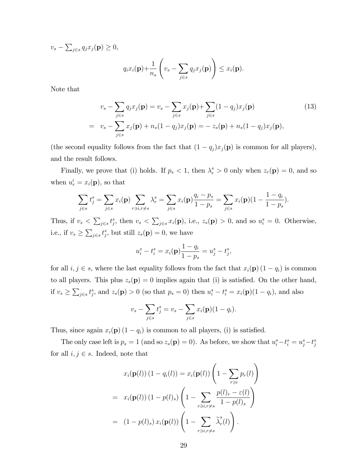$v_s - \sum_{j \in s} q_j x_j(\mathbf{p}) \geq 0,$ 

$$
q_i x_i(\mathbf{p}) + \frac{1}{n_s} \left( v_s - \sum_{j \in s} q_j x_j(\mathbf{p}) \right) \leq x_i(\mathbf{p}).
$$

Note that

$$
v_s - \sum_{j \in s} q_j x_j(\mathbf{p}) = v_s - \sum_{j \in s} x_j(\mathbf{p}) + \sum_{j \in s} (1 - q_j) x_j(\mathbf{p})
$$
(13)  
= 
$$
v_s - \sum_{j \in s} x_j(\mathbf{p}) + n_s(1 - q_j) x_j(\mathbf{p}) = -z_s(\mathbf{p}) + n_s(1 - q_j) x_j(\mathbf{p}),
$$

(the second equality follows from the fact that  $(1 - q_j)x_j(\mathbf{p})$  is common for all players), and the result follows.

Finally, we prove that (i) holds. If  $p_s < 1$ , then  $\lambda_r^s > 0$  only when  $z_r(\mathbf{p}) = 0$ , and so when  $u_r^i = x_i(\mathbf{p})$ , so that

$$
\sum_{j \in s} t_j^s = \sum_{j \in s} x_i(\mathbf{p}) \sum_{r \ni i, r \neq s} \lambda_r^s = \sum_{j \in s} x_i(\mathbf{p}) \frac{q_i - p_s}{1 - p_s} = \sum_{j \in s} x_i(\mathbf{p}) (1 - \frac{1 - q_i}{1 - p_s}).
$$

Thus, if  $v_s < \sum_{j \in s} t_j^s$ , then  $v_s < \sum_{j \in s} x_i(\mathbf{p})$ , i.e.,  $z_s(\mathbf{p}) > 0$ , and so  $u_i^s = 0$ . Otherwise, i.e., if  $v_s \ge \sum_{j \in s} t_j^s$ , but still  $z_s(\mathbf{p}) = 0$ , we have

$$
u_i^s - t_i^s = x_i(\mathbf{p}) \frac{1 - q_i}{1 - p_s} = u_j^s - t_j^s,
$$

for all  $i, j \in s$ , where the last equality follows from the fact that  $x_i(\mathbf{p}) (1 - q_i)$  is common to all players. This plus  $z_s(\mathbf{p}) = 0$  implies again that (i) is satisfied. On the other hand, if  $v_s \ge \sum_{j \in s} t_j^s$ , and  $z_s(\mathbf{p}) > 0$  (so that  $p_s = 0$ ) then  $u_i^s - t_i^s = x_i(\mathbf{p})(1 - q_i)$ , and also

$$
v_s - \sum_{j \in s} t_j^s = v_s - \sum_{j \in s} x_i(\mathbf{p})(1 - q_i).
$$

Thus, since again  $x_i(\mathbf{p}) (1 - q_i)$  is common to all players, (i) is satisfied.

The only case left is  $p_s = 1$  (and so  $z_s(p) = 0$ ). As before, we show that  $u_i^s - t_i^s = u_j^s - t_j^s$ for all  $i, j \in s$ . Indeed, note that

$$
x_i(\mathbf{p}(l)) (1 - q_i(l)) = x_i(\mathbf{p}(l)) \left(1 - \sum_{r \ni i} p_r(l)\right)
$$
  
= 
$$
x_i(\mathbf{p}(l)) (1 - p(l)_s) \left(1 - \sum_{r \ni i, r \neq s} \frac{p(l)_r - \varepsilon(l)}{1 - p(l)_s}\right)
$$
  
= 
$$
(1 - p(l)_s) x_i(\mathbf{p}(l)) \left(1 - \sum_{r \ni i, r \neq s} \tilde{\lambda}_r^s(l)\right).
$$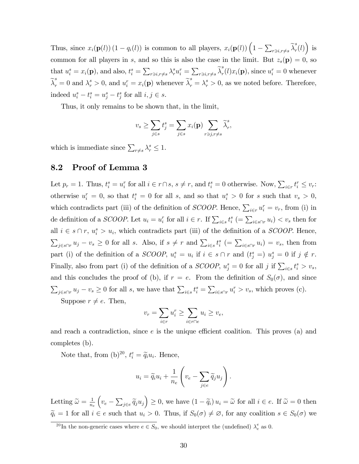Thus, since  $x_i(\mathbf{p}(l))$   $(1 - q_i(l))$  is common to all players,  $x_i(\mathbf{p}(l))$   $(1 - \sum_{r \ni i, r \neq s} \tilde{\lambda}_r^s)$  $_{r}^{s}(l)\big)$  is common for all players in s, and so this is also the case in the limit. But  $z_s(\mathbf{p}) = 0$ , so that  $u_i^s = x_i(\mathbf{p})$ , and also,  $t_i^s = \sum_{r \ni i, r \neq s} \lambda_r^s u_i^r = \sum_{r \ni i, r \neq s} \widetilde{\lambda}_r^s$  $r_r^{\sigma}(l)x_i(\mathbf{p}), \text{ since } u_i^r = 0 \text{ whenever }$  $\widetilde{\lambda}_r^s = 0$  and  $\lambda_r^s > 0$ , and  $u_i^r = x_i(\mathbf{p})$  whenever  $\widetilde{\lambda}_r^s = \lambda_r^s > 0$ , as we noted before. Therefore, indeed  $u_i^s - t_i^s = u_j^s - t_j^s$  for all  $i, j \in s$ .

Thus, it only remains to be shown that, in the limit,

$$
v_s \ge \sum_{j \in s} t_j^s = \sum_{j \in s} x_i(\mathbf{p}) \sum_{r \ni j, r \ne s} \widetilde{\lambda}_r^s,
$$

which is immediate since  $\sum_{r \neq s} \lambda_r^s \leq 1$ .

# 8.2 Proof of Lemma 3

Let  $p_r = 1$ . Thus,  $t_i^s = u_i^r$  for all  $i \in r \cap s$ ,  $s \neq r$ , and  $t_i^s = 0$  otherwise. Now,  $\sum_{i \in r} t_i^r \leq v_r$ : otherwise  $u_i^r = 0$ , so that  $t_i^s = 0$  for all s, and so that  $u_i^s > 0$  for s such that  $v_s > 0$ , which contradicts part (iii) of the definition of *SCOOP*. Hence,  $\sum_{i \in r} u_i^r = v_r$ , from (i) in de definition of a *SCOOP*. Let  $u_i = u_i^r$  for all  $i \in r$ . If  $\sum_{i \in s} t_i^s$  (=  $\sum_{i \in s \cap r} u_i$ ) <  $v_s$  then for all  $i \in s \cap r$ ,  $u_i^s > u_i$ , which contradicts part (iii) of the definition of a *SCOOP*. Hence,  $\sum_{j \in s \cap r} u_j - v_s \geq 0$  for all s. Also, if  $s \neq r$  and  $\sum_{i \in s} t_i^s = \sum_{i \in s \cap r} u_i = v_s$ , then from part (i) of the definition of a *SCOOP*,  $u_i^s = u_i$  if  $i \in s \cap r$  and  $(t_j^s = u_j^s = 0$  if  $j \notin r$ . Finally, also from part (i) of the definition of a *SCOOP*,  $u_j^s = 0$  for all j if  $\sum_{i \in s} t_i^s > v_s$ , and this concludes the proof of (b), if  $r = e$ . From the definition of  $S_0(\sigma)$ , and since  $\sum_{j \in s \cap r} u_j - v_s \ge 0$  for all s, we have that  $\sum_{i \in s} t_i^s = \sum_{i \in s \cap r} u_i^r > v_s$ , which proves (c). Suppose  $r \neq e$ . Then,

$$
v_r = \sum_{i \in r} u_i^r \ge \sum_{i \in r \cap e} u_i \ge v_e,
$$

and reach a contradiction, since  $e$  is the unique efficient coalition. This proves (a) and completes (b).

Note that, from  $(b)^{20}$ ,  $t_i^e = \tilde{q}_i u_i$ . Hence,

$$
u_i = \widetilde{q}_i u_i + \frac{1}{n_e} \left( v_e - \sum_{j \in e} \widetilde{q}_j u_j \right).
$$

Letting  $\widetilde{\omega} = \frac{1}{n_e}$ ne  $\left(v_e - \sum_{j \in e} \widetilde{q}_j u_j\right) \ge 0$ , we have  $(1 - \widetilde{q}_i) u_i = \widetilde{\omega}$  for all  $i \in e$ . If  $\widetilde{\omega} = 0$  then  $\widetilde{q}_i = 1$  for all  $i \in e$  such that  $u_i > 0$ . Thus, if  $S_0(\sigma) \neq \emptyset$ , for any coalition  $s \in S_0(\sigma)$  we

<sup>&</sup>lt;sup>20</sup>In the non-generic cases where  $e \in S_0$ , we should interpret the (undefined)  $\lambda_e^e$  as 0.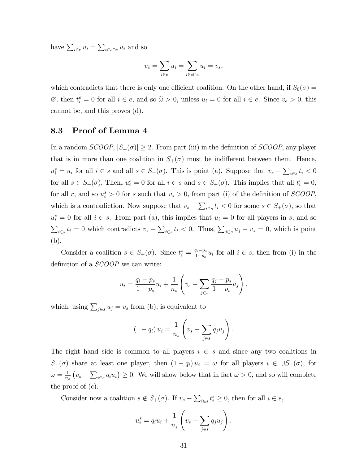have  $\sum_{i \in e} u_i = \sum_{i \in s \cap e} u_i$  and so

$$
v_e = \sum_{i \in e} u_i = \sum_{i \in s \cap e} u_i = v_s,
$$

which contradicts that there is only one efficient coalition. On the other hand, if  $S_0(\sigma)$  $\emptyset$ , then  $t_i^e = 0$  for all  $i \in e$ , and so  $\tilde{\omega} > 0$ , unless  $u_i = 0$  for all  $i \in e$ . Since  $v_e > 0$ , this cannot be, and this proves (d).

### 8.3 Proof of Lemma 4

In a random  $SCOOP$ ,  $|S_+(\sigma)| \geq 2$ . From part (iii) in the definition of  $SCOOP$ , any player that is in more than one coalition in  $S_+(\sigma)$  must be indifferent between them. Hence,  $u_i^s = u_i$  for all  $i \in s$  and all  $s \in S_+(\sigma)$ . This is point (a). Suppose that  $v_s - \sum_{i \in s} t_i < 0$ for all  $s \in S_+(\sigma)$ . Then,  $u_i^s = 0$  for all  $i \in s$  and  $s \in S_+(\sigma)$ . This implies that all  $t_i^r = 0$ , for all r, and so  $u_i^s > 0$  for s such that  $v_s > 0$ , from part (i) of the definition of SCOOP, which is a contradiction. Now suppose that  $v_s - \sum_{i \in s} t_i < 0$  for some  $s \in S_+(\sigma)$ , so that  $u_i^s = 0$  for all  $i \in s$ . From part (a), this implies that  $u_i = 0$  for all players in s, and so  $\sum_{i\in s} t_i = 0$  which contradicts  $v_s - \sum_{i\in s} t_i < 0$ . Thus,  $\sum_{j\in s} u_j - v_s = 0$ , which is point (b).

Consider a coalition  $s \in S_+(\sigma)$ . Since  $t_i^s = \frac{q_i - p_s}{1 - p_s}$  $\frac{q_i-p_s}{1-p_s}u_i$  for all  $i \in s$ , then from (i) in the definition of a *SCOOP* we can write:

$$
u_i = \frac{q_i - p_s}{1 - p_s} u_i + \frac{1}{n_s} \left( v_s - \sum_{j \in s} \frac{q_j - p_s}{1 - p_s} u_j \right),
$$

which, using  $\sum_{j \in s} u_j = v_s$  from (b), is equivalent to

$$
(1-q_i) u_i = \frac{1}{n_s} \left( v_s - \sum_{j \in s} q_j u_j \right).
$$

The right hand side is common to all players  $i \in s$  and since any two coalitions in  $S_+(\sigma)$  share at least one player, then  $(1 - q_i) u_i = \omega$  for all players  $i \in \cup S_+(\sigma)$ , for  $\omega = \frac{1}{n}$  $\frac{1}{n_s}(v_s - \sum_{i \in s} q_i u_i) \geq 0$ . We will show below that in fact  $\omega > 0$ , and so will complete the proof of (c).

Consider now a coalition  $s \notin S_+(\sigma)$ . If  $v_s - \sum_{i \in s} t_i^s \geq 0$ , then for all  $i \in s$ ,

$$
u_i^s = q_i u_i + \frac{1}{n_s} \left( v_s - \sum_{j \in s} q_j u_j \right).
$$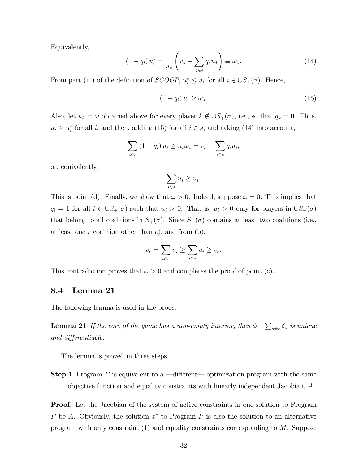Equivalently,

$$
(1 - q_i) u_i^s = \frac{1}{n_s} \left( v_s - \sum_{j \in s} q_j u_j \right) \equiv \omega_s. \tag{14}
$$

From part (iii) of the definition of *SCOOP*,  $u_i^s \leq u_i$  for all  $i \in \bigcup S_+(\sigma)$ . Hence,

$$
(1 - q_i) u_i \ge \omega_s. \tag{15}
$$

Also, let  $u_k = \omega$  obtained above for every player  $k \notin \bigcup S_+(\sigma)$ , i.e., so that  $q_k = 0$ . Thus,  $u_i \geq u_i^s$  for all i, and then, adding (15) for all  $i \in s$ , and taking (14) into account,

$$
\sum_{i \in s} (1 - q_i) u_i \ge n_s \omega_s = v_s - \sum_{i \in s} q_i u_i,
$$

or, equivalently,

$$
\sum_{i \in s} u_i \ge v_s.
$$

This is point (d). Finally, we show that  $\omega > 0$ . Indeed, suppose  $\omega = 0$ . This implies that  $q_i = 1$  for all  $i \in \bigcup S_+(\sigma)$  such that  $u_i > 0$ . That is,  $u_i > 0$  only for players in  $\bigcup S_+(\sigma)$ that belong to all coalitions in  $S_+(\sigma)$ . Since  $S_+(\sigma)$  contains at least two coalitions (i.e., at least one r coalition other than  $e$ , and from  $(b)$ ,

$$
v_r = \sum_{i \in r} u_i \ge \sum_{i \in e} u_i \ge v_e.
$$

This contradiction proves that  $\omega > 0$  and completes the proof of point (c).

### 8.4 Lemma 21

The following lemma is used in the proos:

**Lemma 21** If the core of the game has a non-empty interior, then  $\phi - \sum_{s \neq e} \delta_s$  is unique and differentiable.

The lemma is proved in three steps

**Step 1** Program P is equivalent to a  $\rightarrow$  different $\rightarrow$  optimization program with the same objective function and equality constraints with linearly independent Jacobian, A.

Proof. Let the Jacobian of the system of active constraints in one solution to Program P be A. Obviously, the solution  $x^*$  to Program P is also the solution to an alternative program with only constraint (1) and equality constraints corresponding to M. Suppose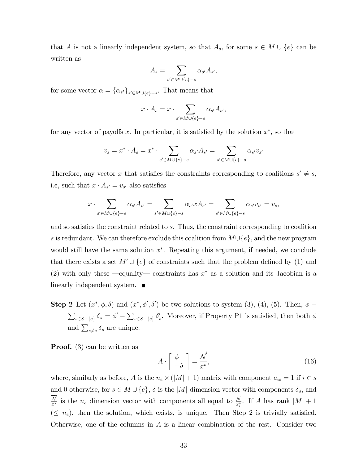that A is not a linearly independent system, so that  $A_s$ , for some  $s \in M \cup \{e\}$  can be written as

$$
A_s = \sum_{s' \in M \cup \{e\} - s} \alpha_{s'} A_{s'},
$$

for some vector  $\alpha = {\alpha_{s'}}_{s' \in M \cup \{e\} - s}$ . That means that

$$
x \cdot A_s = x \cdot \sum_{s' \in M \cup \{e\} - s} \alpha_{s'} A_{s'},
$$

for any vector of payoffs x. In particular, it is satisfied by the solution  $x^*$ , so that

$$
v_s = x^* \cdot A_s = x^* \cdot \sum_{s' \in M \cup \{e\} - s} \alpha_{s'} A_{s'} = \sum_{s' \in M \cup \{e\} - s} \alpha_{s'} v_{s'}
$$

Therefore, any vector x that satisfies the constraints corresponding to coalitions  $s' \neq s$ , i.e, such that  $x \cdot A_{s'} = v_{s'}$  also satisfies

$$
x \cdot \sum_{s' \in M \cup \{e\} - s} \alpha_{s'} A_{s'} = \sum_{s' \in M \cup \{e\} - s} \alpha_{s'} x A_{s'} = \sum_{s' \in M \cup \{e\} - s} \alpha_{s'} v_{s'} = v_s,
$$

and so satisfies the constraint related to s. Thus, the constraint corresponding to coalition s is redundant. We can therefore exclude this coalition from  $M\cup\{e\}$ , and the new program would still have the same solution  $x^*$ . Repeating this argument, if needed, we conclude that there exists a set  $M' \cup \{e\}$  of constraints such that the problem defined by (1) and (2) with only these  $\text{-}$  equality  $\text{-}$  constraints has  $x^*$  as a solution and its Jacobian is a linearly independent system.

**Step 2** Let  $(x^*, \phi, \delta)$  and  $(x^*, \phi', \delta')$  be two solutions to system (3), (4), (5). Then,  $\phi$  –  $\sum_{s\in S-\{e\}} \delta_s = \phi' - \sum_{s\in S-\{e\}} \delta'_s$ . Moreover, if Property P1 is satisfied, then both  $\phi$ and  $\sum_{s\neq e} \delta_s$  are unique.

Proof. (3) can be written as

$$
A \cdot \left[ \begin{array}{c} \phi \\ -\delta \end{array} \right] = \frac{\overrightarrow{\mathcal{N}}}{x^*},\tag{16}
$$

where, similarly as before, A is the  $n_e \times (|M| + 1)$  matrix with component  $a_{is} = 1$  if  $i \in s$ and 0 otherwise, for  $s \in M \cup \{e\}$ ,  $\delta$  is the  $|M|$  dimension vector with components  $\delta_s$ , and  $\overrightarrow{\frac{N}{x^*}}$  is the  $n_e$  dimension vector with components all equal to  $\frac{N}{x_i^*}$ . If A has rank  $|M|+1$  $(\leq n_e)$ , then the solution, which exists, is unique. Then Step 2 is trivially satisfied. Otherwise, one of the columns in A is a linear combination of the rest. Consider two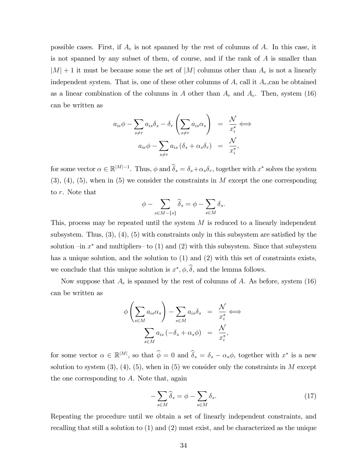possible cases. First, if  $A_e$  is not spanned by the rest of columns of A. In this case, it is not spanned by any subset of them, of course, and if the rank of  $A$  is smaller than  $|M| + 1$  it must be because some the set of  $|M|$  columns other than  $A_e$  is not a linearly independent system. That is, one of these other columns of  $A$ , call it  $A_r$ , can be obtained as a linear combination of the columns in A other than  $A_r$  and  $A_e$ . Then, system (16) can be written as

$$
a_{ie}\phi - \sum_{s \neq r} a_{is}\delta_s - \delta_r \left(\sum_{s \neq r} a_{is}\alpha_s\right) = \frac{\mathcal{N}}{x_i^*} \iff
$$

$$
a_{ie}\phi - \sum_{s \neq r} a_{is} (\delta_s + \alpha_s \delta_r) = \frac{\mathcal{N}}{x_i^*},
$$

for some vector  $\alpha \in \mathbb{R}^{|M|-1}$ . Thus,  $\phi$  and  $\hat{\delta}_s = \delta_s + \alpha_s \delta_r$ , together with  $x^*$  solves the system  $(3), (4), (5),$  when in  $(5)$  we consider the constraints in M except the one corresponding to r. Note that

$$
\phi - \sum_{s \in M - \{s\}} \widehat{\delta}_s = \phi - \sum_{s \in M} \delta_s.
$$

This, process may be repeated until the system M is reduced to a linearly independent subsystem. Thus,  $(3)$ ,  $(4)$ ,  $(5)$  with constraints only in this subsystem are satisfied by the solution  $-\text{in } x^*$  and multipliers– to (1) and (2) with this subsystem. Since that subsystem has a unique solution, and the solution to (1) and (2) with this set of constraints exists, we conclude that this unique solution is  $x^*, \phi, \delta$ , and the lemma follows.

Now suppose that  $A_e$  is spanned by the rest of columns of A. As before, system (16) can be written as

$$
\phi \left( \sum_{s \in M} a_{is} \alpha_s \right) - \sum_{s \in M} a_{is} \delta_s = \frac{\mathcal{N}}{x_i^*} \iff
$$

$$
\sum_{s \in M} a_{is} \left( -\delta_s + \alpha_s \phi \right) = \frac{\mathcal{N}}{x_i^*},
$$

for some vector  $\alpha \in \mathbb{R}^{|M|}$ , so that  $\hat{\phi} = 0$  and  $\hat{\delta}_s = \delta_s - \alpha_s \phi$ , together with  $x^*$  is a new solution to system  $(3)$ ,  $(4)$ ,  $(5)$ , when in  $(5)$  we consider only the constraints in M except the one corresponding to A. Note that, again

$$
-\sum_{s \in M} \hat{\delta}_s = \phi - \sum_{s \in M} \delta_s. \tag{17}
$$

Repeating the procedure until we obtain a set of linearly independent constraints, and recalling that still a solution to (1) and (2) must exist, and be characterized as the unique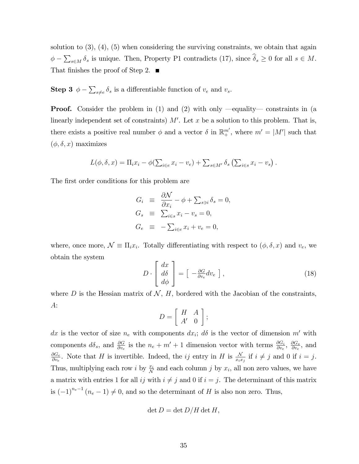solution to  $(3)$ ,  $(4)$ ,  $(5)$  when considering the surviving constraints, we obtain that again  $\phi - \sum_{s \in M} \delta_s$  is unique. Then, Property P1 contradicts (17), since  $\widehat{\delta}_s \ge 0$  for all  $s \in M$ . That finishes the proof of Step 2.  $\blacksquare$ 

**Step 3**  $\phi - \sum_{s \neq e} \delta_s$  is a differentiable function of  $v_e$  and  $v_s$ .

**Proof.** Consider the problem in (1) and (2) with only  $\rightarrow$  equality  $\rightarrow$  constraints in (a linearly independent set of constraints)  $M'$ . Let x be a solution to this problem. That is, there exists a positive real number  $\phi$  and a vector  $\delta$  in  $\mathbb{R}^{m'}_+$ , where  $m' = |M'|$  such that  $(\phi, \delta, x)$  maximizes

$$
L(\phi, \delta, x) = \Pi_i x_i - \phi(\sum_{i \in e} x_i - v_e) + \sum_{s \in M'} \delta_s (\sum_{i \in s} x_i - v_s).
$$

The first order conditions for this problem are

$$
G_i \equiv \frac{\partial \mathcal{N}}{\partial x_i} - \phi + \sum_{s \ni i} \delta_s = 0,
$$
  
\n
$$
G_s \equiv \sum_{i \in s} x_i - v_s = 0,
$$
  
\n
$$
G_e \equiv -\sum_{i \in e} x_i + v_e = 0,
$$

where, once more,  $\mathcal{N} \equiv \Pi_i x_i$ . Totally differentiating with respect to  $(\phi, \delta, x)$  and  $v_e$ , we obtain the system

$$
D \cdot \begin{bmatrix} dx \\ d\delta \\ d\phi \end{bmatrix} = \begin{bmatrix} -\frac{\partial G}{\partial v_e} dv_e \end{bmatrix},
$$
 (18)

where D is the Hessian matrix of  $N$ , H, bordered with the Jacobian of the constraints, A:

$$
D = \left[ \begin{array}{cc} H & A \\ A' & 0 \end{array} \right];
$$

dx is the vector of size  $n_e$  with components  $dx_i$ ;  $d\delta$  is the vector of dimension m' with components  $d\delta_s$ , and  $\frac{\partial G}{\partial v_e}$  is the  $n_e + m' + 1$  dimension vector with terms  $\frac{\partial G_i}{\partial v_e}$ ,  $\frac{\partial G_s}{\partial v_e}$  $\frac{\partial G_s}{\partial v_e}$ , and  $\partial G_e$  $\frac{\partial G_e}{\partial v_e}$ . Note that H is invertible. Indeed, the *ij* entry in H is  $\frac{N}{x_ix_j}$  if  $i \neq j$  and 0 if  $i = j$ . Thus, multiplying each row *i* by  $\frac{x_i}{N}$  and each column *j* by  $x_i$ , all non zero values, we have a matrix with entries 1 for all ij with  $i \neq j$  and 0 if  $i = j$ . The determinant of this matrix is  $(-1)^{n_e-1}$   $(n_e-1) \neq 0$ , and so the determinant of H is also non zero. Thus,

$$
\det D = \det D/H \det H,
$$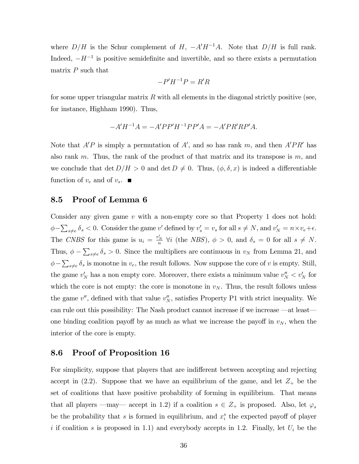where  $D/H$  is the Schur complement of H,  $-A'H^{-1}A$ . Note that  $D/H$  is full rank. Indeed,  $-H^{-1}$  is positive semidefinite and invertible, and so there exists a permutation matrix  $P$  such that

$$
-P'H^{-1}P = R'R
$$

for some upper triangular matrix  $R$  with all elements in the diagonal strictly positive (see, for instance, Highham 1990). Thus,

$$
-A'H^{-1}A = -A'PP'H^{-1}PP'A = -A'PR'RP'A.
$$

Note that  $A'P$  is simply a permutation of A', and so has rank m, and then  $A'PR'$  has also rank  $m$ . Thus, the rank of the product of that matrix and its transpose is  $m$ , and we conclude that det  $D/H > 0$  and det  $D \neq 0$ . Thus,  $(\phi, \delta, x)$  is indeed a differentiable function of  $v_e$  and of  $v_s$ .

### 8.5 Proof of Lemma 6

Consider any given game  $v$  with a non-empty core so that Property 1 does not hold:  $\phi - \sum_{s \neq e} \delta_s < 0$ . Consider the game v' defined by  $v_s' = v_s$  for all  $s \neq N$ , and  $v_N' = n \times v_e + \epsilon$ . The CNBS for this game is  $u_i = \frac{v'_N}{n}$   $\forall i$  (the NBS),  $\phi > 0$ , and  $\delta_s = 0$  for all  $s \neq N$ . Thus,  $\phi - \sum_{s \neq e} \delta_s > 0$ . Since the multipliers are continuous in  $v_N$  from Lemma 21, and  $\phi - \sum_{s \neq e} \delta_s$  is monotne in  $v_e$ , the result follows. Now suppose the core of v is empty. Still, the game  $v'_N$  has a non empty core. Moreover, there exists a minimum value  $v''_N < v'_N$  for which the core is not empty: the core is monotone in  $v_N$ . Thus, the result follows unless the game  $v''$ , defined with that value  $v''_N$ , satisfies Property P1 with strict inequality. We can rule out this possibility: The Nash product cannot increase if we increase  $-\text{at least}$ one binding coalition payoff by as much as what we increase the payoff in  $v<sub>N</sub>$ , when the interior of the core is empty.

## 8.6 Proof of Proposition 16

For simplicity, suppose that players that are indifferent between accepting and rejecting accept in (2.2). Suppose that we have an equilibrium of the game, and let  $Z_+$  be the set of coalitions that have positive probability of forming in equilibrium. That means that all players – may accept in 1.2) if a coalition  $s \in Z_+$  is proposed. Also, let  $\varphi_s$ be the probability that s is formed in equilibrium, and  $x_i^s$  the expected payoff of player i if coalition s is proposed in 1.1) and everybody accepts in 1.2. Finally, let  $U_i$  be the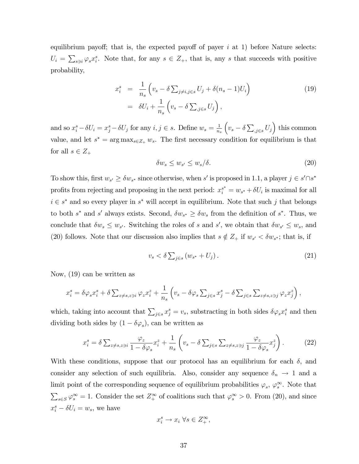equilibrium payoff; that is, the expected payoff of payer  $i$  at 1) before Nature selects:  $U_i = \sum_{s \ni i} \varphi_s x_i^s$ . Note that, for any  $s \in Z_+$ , that is, any s that succeeds with positive probability,

$$
x_i^s = \frac{1}{n_s} \left( v_s - \delta \sum_{j \neq i, j \in s} U_j + \delta (n_s - 1) U_i \right)
$$
  
= 
$$
\delta U_i + \frac{1}{n_s} \left( v_s - \delta \sum_{j \in s} U_j \right),
$$
 (19)

and so  $x_i^s - \delta U_i = x_j^s - \delta U_j$  for any  $i, j \in s$ . Define  $w_s = \frac{1}{n_s}$  $n_{s}$  $(v_s - \delta \sum_{j \in s} U_j)$  this common value, and let  $s^* = \arg \max_{s \in Z_+} w_s$ . The first necessary condition for equilibrium is that for all  $s \in Z_+$ 

$$
\delta w_s \le w_{s'} \le w_s/\delta. \tag{20}
$$

To show this, first  $w_{s'} \geq \delta w_{s^*}$  since otherwise, when s' is proposed in 1.1, a player  $j \in s' \cap s^*$ profits from rejecting and proposing in the next period:  $x_i^{s^*} = w_{s^*} + \delta U_i$  is maximal for all  $i \in s^*$  and so every player in  $s^*$  will accept in equilibrium. Note that such j that belongs to both  $s^*$  and  $s'$  always exists. Second,  $\delta w_{s^*} \geq \delta w_s$  from the definition of  $s^*$ . Thus, we conclude that  $\delta w_s \leq w_{s'}$ . Switching the roles of s and s', we obtain that  $\delta w_{s'} \leq w_s$ , and (20) follows. Note that our discussion also implies that  $s \notin Z_+$  if  $w_{s'} < \delta w_{s^*}$ ; that is, if

$$
v_s < \delta \sum_{j \in s} \left( w_{s^*} + U_j \right). \tag{21}
$$

Now, (19) can be written as

$$
x_i^s = \delta \varphi_s x_i^s + \delta \sum_{z \neq s, z \ni i} \varphi_z x_i^z + \frac{1}{n_s} \left( v_s - \delta \varphi_s \sum_{j \in s} x_j^s - \delta \sum_{j \in s} \sum_{z \neq s, z \ni j} \varphi_z x_j^z \right),
$$

which, taking into account that  $\sum_{j\in s} x_j^s = v_s$ , substracting in both sides  $\delta\varphi_s x_i^s$  and then dividing both sides by  $(1 - \delta \varphi_s)$ , can be written as

$$
x_i^s = \delta \sum_{z \neq s, z \ni i} \frac{\varphi_z}{1 - \delta \varphi_s} x_i^z + \frac{1}{n_s} \left( v_s - \delta \sum_{j \in s} \sum_{z \neq s, z \ni j} \frac{\varphi_z}{1 - \delta \varphi_s} x_j^z \right). \tag{22}
$$

With these conditions, suppose that our protocol has an equilibrium for each  $\delta$ , and consider any selection of such equilibria. Also, consider any sequence  $\delta_n \to 1$  and a limit point of the corresponding sequence of equilibrium probabilities  $\varphi_s$ ,  $\varphi_s^{\infty}$ . Note that  $\sum_{s\in S}\varphi_s^{\infty} = 1$ . Consider the set  $Z_+^{\infty}$  of coalitions such that  $\varphi_s^{\infty} > 0$ . From (20), and since  $x_i^s - \delta U_i = w_s$ , we have

$$
x_i^s \to x_i \; \forall s \in Z_+^{\infty},
$$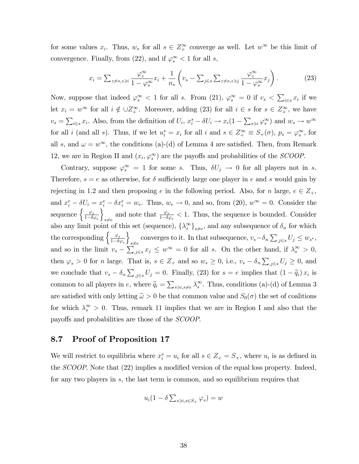for some values  $x_i$ . Thus,  $w_s$  for all  $s \in Z^{\infty}_+$  converge as well. Let  $w^{\infty}$  be this limit of convergence. Finally, from (22), and if  $\varphi_s^{\infty} < 1$  for all s,

$$
x_i = \sum_{z \neq s, z \ni i} \frac{\varphi_z^{\infty}}{1 - \varphi_s^{\infty}} x_i + \frac{1}{n_s} \left( v_s - \sum_{j \in s} \sum_{z \neq s, z \ni j} \frac{\varphi_z^{\infty}}{1 - \varphi_s^{\infty}} x_j \right). \tag{23}
$$

Now, suppose that indeed  $\varphi_s^{\infty} < 1$  for all s. From (21),  $\varphi_s^{\infty} = 0$  if  $v_s < \sum_{i \in s} x_i$  if we let  $x_i = w^{\infty}$  for all  $i \notin \bigcup_{\alpha} Z^{\infty}_+$ . Moreover, adding (23) for all  $i \in s$  for  $s \in Z^{\infty}_+$ , we have  $v_s = \sum_{i \in s} x_i$ . Also, from the definition of  $U_i$ ,  $x_i^s - \delta U_i \to x_i(1 - \sum_{s \ni i} \varphi_s^{\infty})$  and  $w_s \to w^{\infty}$ for all *i* (and all *s*). Thus, if we let  $u_i^s = x_i$  for all *i* and  $s \in Z_+^{\infty} \equiv S_+(\sigma)$ ,  $p_s = \varphi_s^{\infty}$ , for all s, and  $\omega = w^{\infty}$ , the conditions (a)-(d) of Lemma 4 are satisfied. Then, from Remark 12, we are in Region II and  $(x_i, \varphi_s^{\infty})$  are the payoffs and probabilities of the *SCOOP*.

Contrary, suppose  $\varphi_s^{\infty} = 1$  for some s. Thus,  $\delta U_j \to 0$  for all players not in s. Therefore,  $s = e$  as otherwise, for  $\delta$  sufficiently large one player in e and s would gain by rejecting in 1.2 and then proposing e in the following period. Also, for n large,  $e \in Z_+$ , and  $x_i^e - \delta U_i = x_i^e - \delta x_i^e = w_e$ . Thus,  $w_e \to 0$ , and so, from (20),  $w^\infty = 0$ . Consider the sequence  $\Big\{ \frac{\varphi_s}{1-\delta \varphi_e}$  $\mathcal{L}$  $sneq e$ and note that  $\frac{\varphi_s}{1-\delta\varphi_e} < 1$ . Thus, the sequence is bounded. Consider also any limit point of this set (sequence),  $\{\lambda_s^{\infty}\}_{s\neq e}$ , and any subsequence of  $\delta_n$  for which the corresponding  $\Big\{\frac{\varphi_s}{1-\delta\varphi_e}$  $\overline{1}$ converges to it. In that subsequence,  $v_s - \delta_n \sum_{j \in s} U_j \leq w_{s^*},$ and so in the limit  $v_s - \sum_{j \in s} x_j \leq w^{\infty} = 0$  for all s. On the other hand, if  $\lambda_s^{\infty} > 0$ , then  $\varphi_s > 0$  for *n* large. That is,  $s \in Z_+$  and so  $w_s \geq 0$ , i.e.,  $v_s - \delta_n \sum_{j \in s} U_j \geq 0$ , and we conclude that  $v_s - \delta_n \sum_{j \in s} U_j = 0$ . Finally, (23) for  $s = e$  implies that  $(1 - \tilde{q}_i) x_i$  is common to all players in e, where  $\tilde{q}_i = \sum_{s \ni i, s \neq e} \lambda_s^{\infty}$ . Thus, conditions (a)-(d) of Lemma 3 are satisfied with only letting  $\tilde{\omega} > 0$  be that common value and  $S_0(\sigma)$  the set of coalitions for which  $\lambda_s^{\infty} > 0$ . Thus, remark 11 implies that we are in Region I and also that the payoffs and probabilities are those of the *SCOOP*.

### 8.7 Proof of Proposition 17

We will restrict to equilibria where  $x_i^s = u_i$  for all  $s \in Z_+ = S_+$ , where  $u_i$  is as defined in the *SCOOP*. Note that (22) implies a modified version of the equal loss property. Indeed, for any two players in s, the last term is common, and so equilibrium requires that

$$
u_i(1-\delta\sum_{s\ni i,s\in S_+}\varphi_s)=w
$$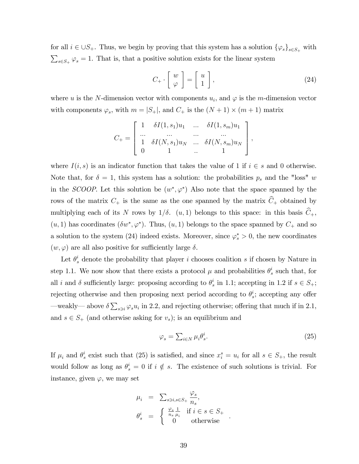for all  $i \in \bigcup S_+$ . Thus, we begin by proving that this system has a solution  $\{\varphi_s\}_{s \in S_+}$  with  $\sum_{s \in S_+} \varphi_s = 1$ . That is, that a positive solution exists for the linear system

$$
C_{+} \cdot \left[ \begin{array}{c} w \\ \varphi \end{array} \right] = \left[ \begin{array}{c} u \\ 1 \end{array} \right], \tag{24}
$$

where u is the N-dimension vector with components  $u_i$ , and  $\varphi$  is the m-dimension vector with components  $\varphi_s$ , with  $m = |S_+|$ , and  $C_+$  is the  $(N + 1) \times (m + 1)$  matrix

$$
C_{+} = \left[ \begin{array}{cccc} 1 & \delta I(1,s_1)u_1 & \dots & \delta I(1,s_m)u_1 \\ \dots & \dots & \dots & \dots \\ 1 & \delta I(N,s_1)u_N & \dots & \delta I(N,s_m)u_N \\ 0 & 1 & \dots & 1 \end{array} \right],
$$

where  $I(i, s)$  is an indicator function that takes the value of 1 if  $i \in s$  and 0 otherwise. Note that, for  $\delta = 1$ , this system has a solution: the probabilities  $p_s$  and the "loss" w in the SCOOP. Let this solution be  $(w^*, \varphi^*)$  Also note that the space spanned by the rows of the matrix  $C_+$  is the same as the one spanned by the matrix  $\hat{C}_+$  obtained by multiplying each of its N rows by  $1/\delta$ .  $(u, 1)$  belongs to this space: in this basis  $\hat{C}_+$ ,  $(u, 1)$  has coordinates  $(\delta w^*, \varphi^*)$ . Thus,  $(u, 1)$  belongs to the space spanned by  $C_+$  and so a solution to the system (24) indeed exists. Moreover, since  $\varphi_s^* > 0$ , the new coordinates  $(w, \varphi)$  are all also positive for sufficiently large  $\delta$ .

Let  $\theta_s^i$  denote the probability that player *i* chooses coalition *s* if chosen by Nature in step 1.1. We now show that there exists a protocol  $\mu$  and probabilities  $\theta_s^i$  $\frac{i}{s}$  such that, for all i and  $\delta$  sufficiently large: proposing according to  $\theta_s^i$  $s<sup>i</sup>$  in 1.1; accepting in 1.2 if  $s \in S_+$ ; rejecting otherwise and then proposing next period according to  $\theta_s^i$  $s^i$ ; accepting any offer —weakly— above  $\delta \sum_{s \ni i} \varphi_s u_i$  in 2.2, and rejecting otherwise; offering that much if in 2.1, and  $s \in S_+$  (and otherwise asking for  $v_s$ ); is an equilibrium and

$$
\varphi_s = \sum_{i \in N} \mu_i \theta_s^i. \tag{25}
$$

If  $\mu_i$  and  $\theta_s^i$  $s_i$  exist such that (25) is satisfied, and since  $x_i^s = u_i$  for all  $s \in S_+$ , the result would follow as long as  $\theta_s^i = 0$  if  $i \notin s$ . The existence of such solutions is trivial. For instance, given  $\varphi$ , we may set

$$
\mu_i = \sum_{s \ni i, s \in S_+} \frac{\varphi_s}{n_s},
$$
  
\n
$$
\theta_s^i = \begin{cases}\n\frac{\varphi_s}{n_s} \frac{1}{\mu_i} & \text{if } i \in s \in S_+ \\
0 & \text{otherwise}\n\end{cases}.
$$